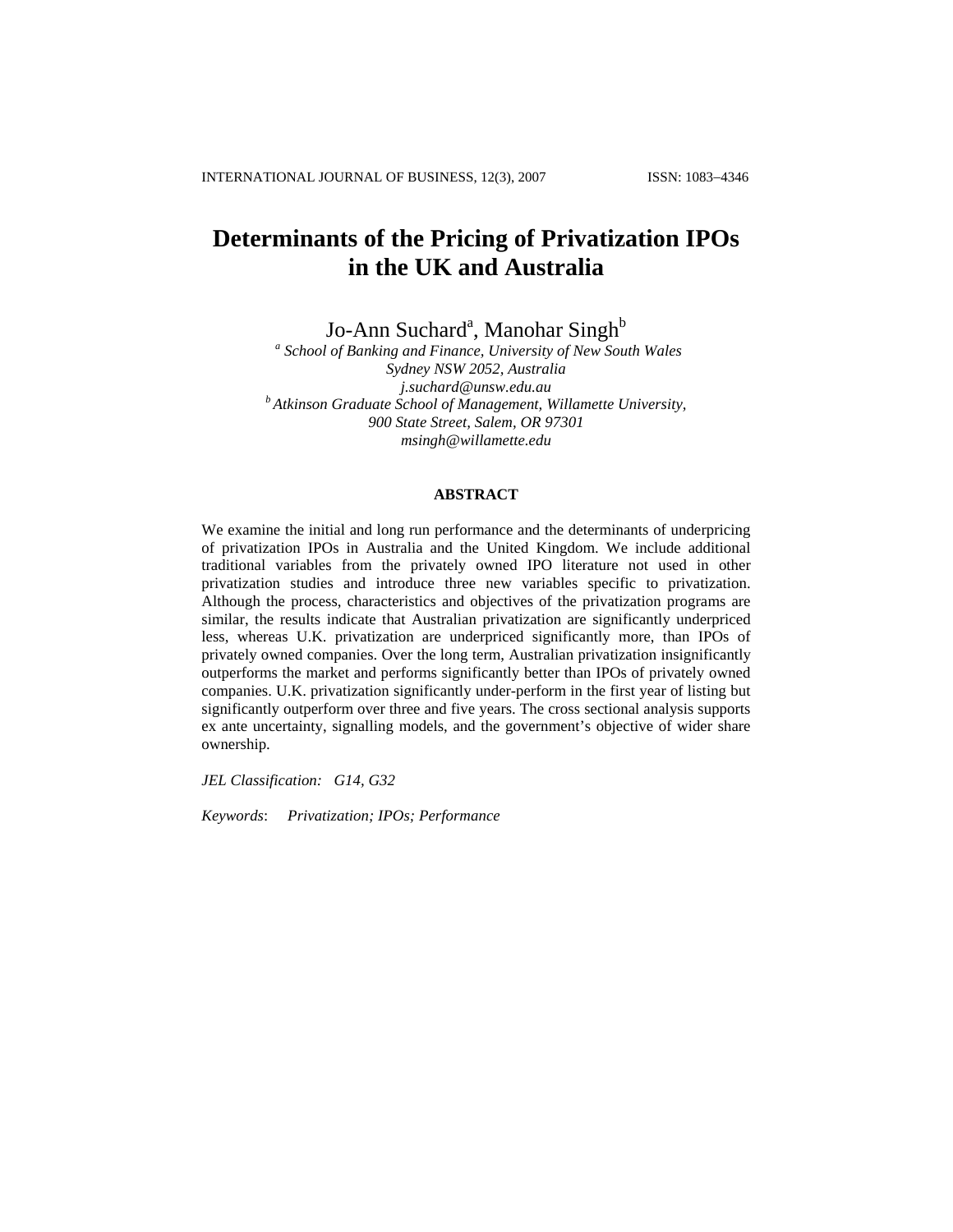# **Determinants of the Pricing of Privatization IPOs in the UK and Australia**

Jo-Ann Suchard<sup>a</sup>, Manohar Singh<sup>b</sup>

 *a School of Banking and Finance, University of New South Wales Sydney NSW 2052, Australia*  <sup>*b*</sup> Atkinson Graduate School of Management, Willamette University, *900 State Street, Salem, OR 97301 msingh@willamette.edu* 

## **ABSTRACT**

We examine the initial and long run performance and the determinants of underpricing of privatization IPOs in Australia and the United Kingdom. We include additional traditional variables from the privately owned IPO literature not used in other privatization studies and introduce three new variables specific to privatization. Although the process, characteristics and objectives of the privatization programs are similar, the results indicate that Australian privatization are significantly underpriced less, whereas U.K. privatization are underpriced significantly more, than IPOs of privately owned companies. Over the long term, Australian privatization insignificantly outperforms the market and performs significantly better than IPOs of privately owned companies. U.K. privatization significantly under-perform in the first year of listing but significantly outperform over three and five years. The cross sectional analysis supports ex ante uncertainty, signalling models, and the government's objective of wider share ownership.

*JEL Classification: G14, G32* 

*Keywords*: *Privatization; IPOs; Performance*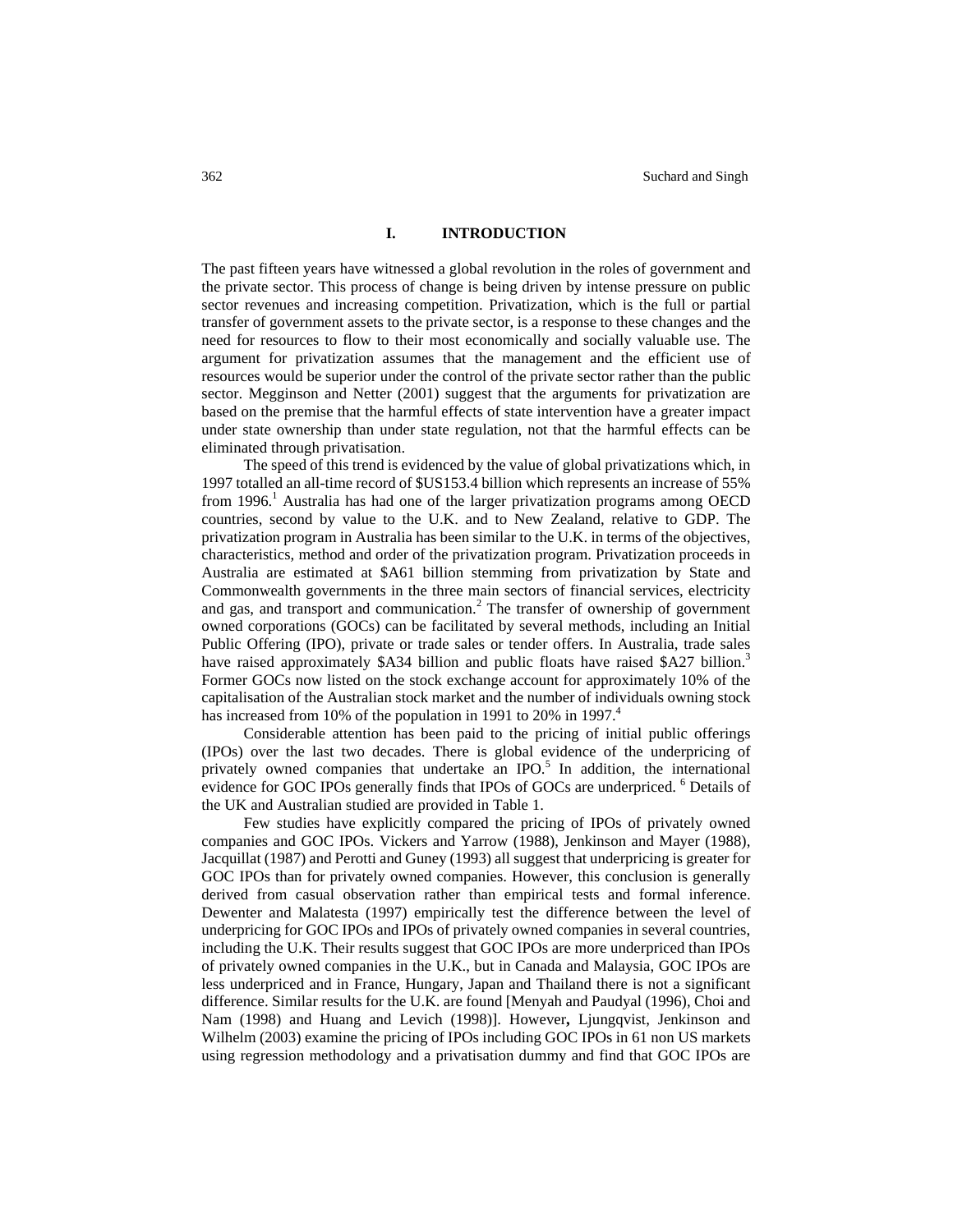# **I. INTRODUCTION**

The past fifteen years have witnessed a global revolution in the roles of government and the private sector. This process of change is being driven by intense pressure on public sector revenues and increasing competition. Privatization, which is the full or partial transfer of government assets to the private sector, is a response to these changes and the need for resources to flow to their most economically and socially valuable use. The argument for privatization assumes that the management and the efficient use of resources would be superior under the control of the private sector rather than the public sector. Megginson and Netter (2001) suggest that the arguments for privatization are based on the premise that the harmful effects of state intervention have a greater impact under state ownership than under state regulation, not that the harmful effects can be eliminated through privatisation.

The speed of this trend is evidenced by the value of global privatizations which, in 1997 totalled an all-time record of \$US153.4 billion which represents an increase of 55% from 1996.<sup>1</sup> Australia has had one of the larger privatization programs among OECD countries, second by value to the U.K. and to New Zealand, relative to GDP. The privatization program in Australia has been similar to the U.K. in terms of the objectives, characteristics, method and order of the privatization program. Privatization proceeds in Australia are estimated at \$A61 billion stemming from privatization by State and Commonwealth governments in the three main sectors of financial services, electricity and gas, and transport and communication.<sup>2</sup> The transfer of ownership of government owned corporations (GOCs) can be facilitated by several methods, including an Initial Public Offering (IPO), private or trade sales or tender offers. In Australia, trade sales have raised approximately \$A34 billion and public floats have raised \$A27 billion.<sup>3</sup> Former GOCs now listed on the stock exchange account for approximately 10% of the capitalisation of the Australian stock market and the number of individuals owning stock has increased from 10% of the population in 1991 to 20% in 1997.<sup>4</sup>

Considerable attention has been paid to the pricing of initial public offerings (IPOs) over the last two decades. There is global evidence of the underpricing of privately owned companies that undertake an IPO. $5$  In addition, the international evidence for GOC IPOs generally finds that IPOs of GOCs are underpriced. <sup>6</sup> Details of the UK and Australian studied are provided in Table 1.

Few studies have explicitly compared the pricing of IPOs of privately owned companies and GOC IPOs. Vickers and Yarrow (1988), Jenkinson and Mayer (1988), Jacquillat (1987) and Perotti and Guney (1993) all suggest that underpricing is greater for GOC IPOs than for privately owned companies. However, this conclusion is generally derived from casual observation rather than empirical tests and formal inference. Dewenter and Malatesta (1997) empirically test the difference between the level of underpricing for GOC IPOs and IPOs of privately owned companies in several countries, including the U.K. Their results suggest that GOC IPOs are more underpriced than IPOs of privately owned companies in the U.K., but in Canada and Malaysia, GOC IPOs are less underpriced and in France, Hungary, Japan and Thailand there is not a significant difference. Similar results for the U.K. are found [Menyah and Paudyal (1996), Choi and Nam (1998) and Huang and Levich (1998)]. However**,** Ljungqvist, Jenkinson and Wilhelm (2003) examine the pricing of IPOs including GOC IPOs in 61 non US markets using regression methodology and a privatisation dummy and find that GOC IPOs are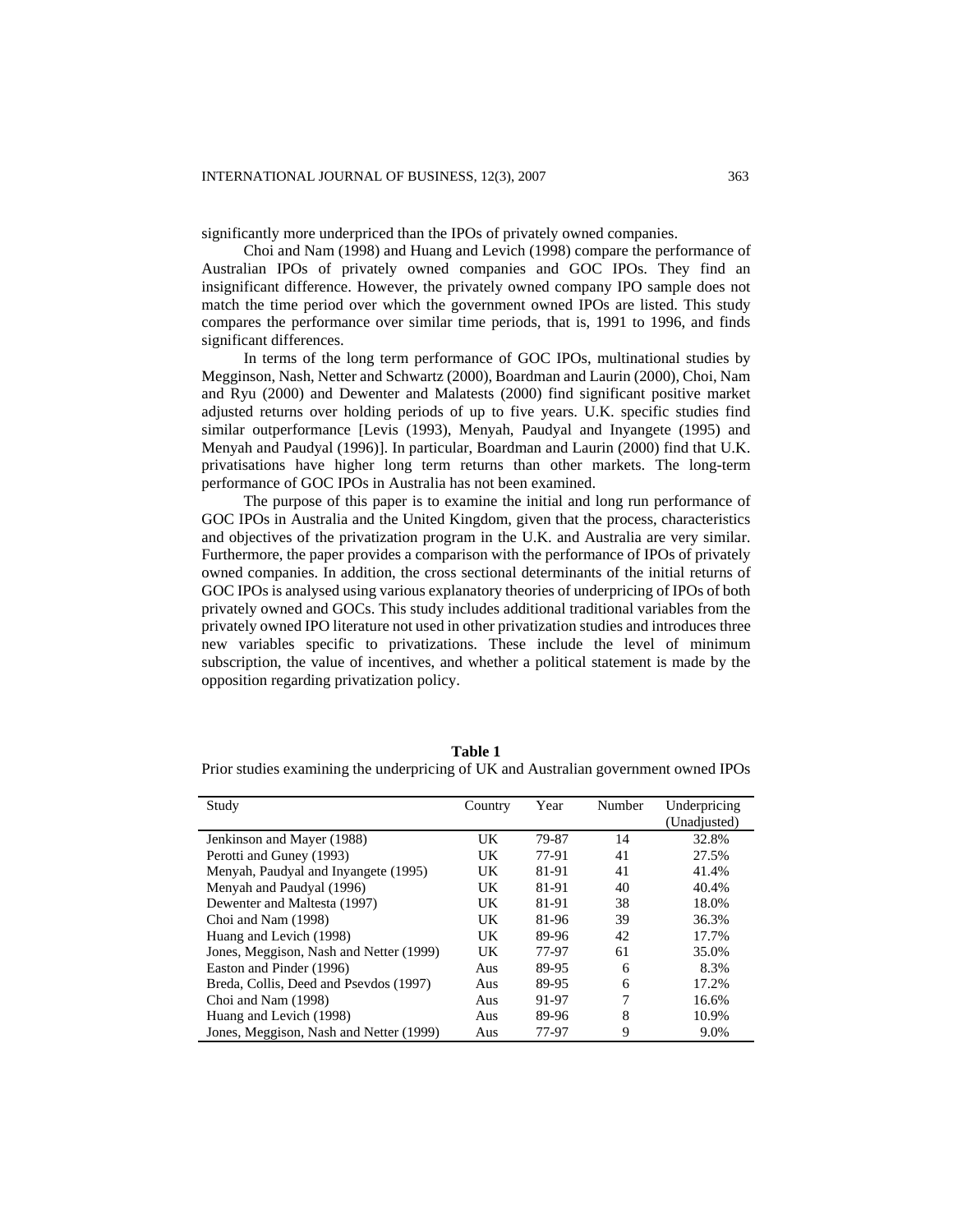significantly more underpriced than the IPOs of privately owned companies.

Choi and Nam (1998) and Huang and Levich (1998) compare the performance of Australian IPOs of privately owned companies and GOC IPOs. They find an insignificant difference. However, the privately owned company IPO sample does not match the time period over which the government owned IPOs are listed. This study compares the performance over similar time periods, that is, 1991 to 1996, and finds significant differences.

In terms of the long term performance of GOC IPOs, multinational studies by Megginson, Nash, Netter and Schwartz (2000), Boardman and Laurin (2000), Choi, Nam and Ryu (2000) and Dewenter and Malatests (2000) find significant positive market adjusted returns over holding periods of up to five years. U.K. specific studies find similar outperformance [Levis (1993), Menyah, Paudyal and Inyangete (1995) and Menyah and Paudyal (1996)]. In particular, Boardman and Laurin (2000) find that U.K. privatisations have higher long term returns than other markets. The long-term performance of GOC IPOs in Australia has not been examined.

The purpose of this paper is to examine the initial and long run performance of GOC IPOs in Australia and the United Kingdom, given that the process, characteristics and objectives of the privatization program in the U.K. and Australia are very similar. Furthermore, the paper provides a comparison with the performance of IPOs of privately owned companies. In addition, the cross sectional determinants of the initial returns of GOC IPOs is analysed using various explanatory theories of underpricing of IPOs of both privately owned and GOCs. This study includes additional traditional variables from the privately owned IPO literature not used in other privatization studies and introduces three new variables specific to privatizations. These include the level of minimum subscription, the value of incentives, and whether a political statement is made by the opposition regarding privatization policy.

| Table 1                                                                             |
|-------------------------------------------------------------------------------------|
| Prior studies examining the underpricing of UK and Australian government owned IPOs |

| Study                                   | Country | Year  | Number | Underpricing<br>(Unadjusted) |
|-----------------------------------------|---------|-------|--------|------------------------------|
| Jenkinson and Mayer (1988)              | UK      | 79-87 | 14     | 32.8%                        |
| Perotti and Guney (1993)                | UK      | 77-91 | 41     | 27.5%                        |
| Menyah, Paudyal and Inyangete (1995)    | UK      | 81-91 | 41     | 41.4%                        |
| Menyah and Paudyal (1996)               | UK      | 81-91 | 40     | 40.4%                        |
| Dewenter and Maltesta (1997)            | UK      | 81-91 | 38     | 18.0%                        |
| Choi and Nam (1998)                     | UK      | 81-96 | 39     | 36.3%                        |
| Huang and Levich (1998)                 | UK      | 89-96 | 42     | 17.7%                        |
| Jones, Meggison, Nash and Netter (1999) | UK      | 77-97 | 61     | 35.0%                        |
| Easton and Pinder (1996)                | Aus     | 89-95 | 6      | 8.3%                         |
| Breda, Collis, Deed and Psevdos (1997)  | Aus     | 89-95 | 6      | 17.2%                        |
| Choi and Nam (1998)                     | Aus     | 91-97 |        | 16.6%                        |
| Huang and Levich (1998)                 | Aus     | 89-96 | 8      | 10.9%                        |
| Jones, Meggison, Nash and Netter (1999) | Aus     | 77-97 | 9      | 9.0%                         |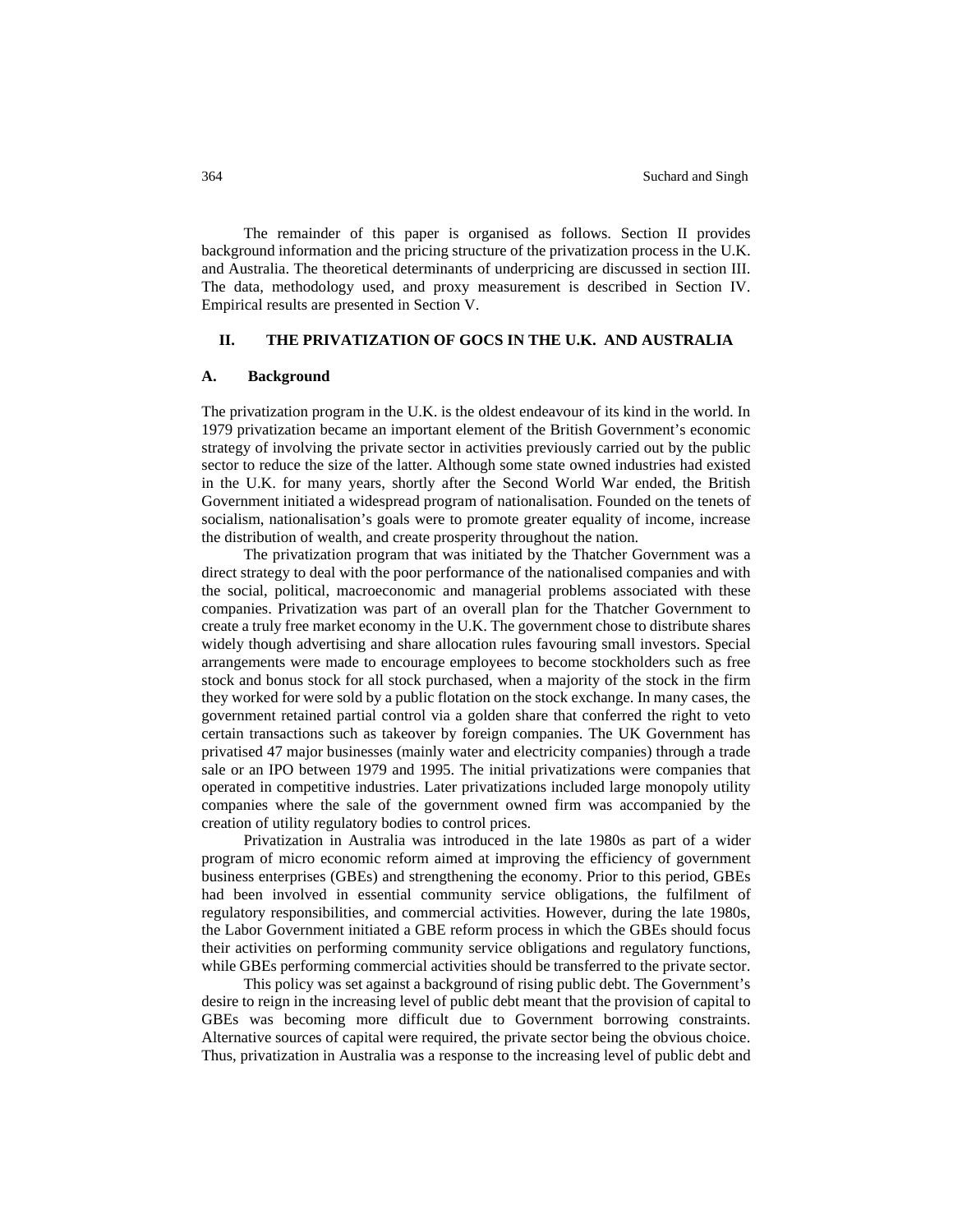The remainder of this paper is organised as follows. Section II provides background information and the pricing structure of the privatization process in the U.K. and Australia. The theoretical determinants of underpricing are discussed in section III. The data, methodology used, and proxy measurement is described in Section IV. Empirical results are presented in Section V.

## **II. THE PRIVATIZATION OF GOCS IN THE U.K. AND AUSTRALIA**

## **A. Background**

The privatization program in the U.K. is the oldest endeavour of its kind in the world. In 1979 privatization became an important element of the British Government's economic strategy of involving the private sector in activities previously carried out by the public sector to reduce the size of the latter. Although some state owned industries had existed in the U.K. for many years, shortly after the Second World War ended, the British Government initiated a widespread program of nationalisation. Founded on the tenets of socialism, nationalisation's goals were to promote greater equality of income, increase the distribution of wealth, and create prosperity throughout the nation.

The privatization program that was initiated by the Thatcher Government was a direct strategy to deal with the poor performance of the nationalised companies and with the social, political, macroeconomic and managerial problems associated with these companies. Privatization was part of an overall plan for the Thatcher Government to create a truly free market economy in the U.K. The government chose to distribute shares widely though advertising and share allocation rules favouring small investors. Special arrangements were made to encourage employees to become stockholders such as free stock and bonus stock for all stock purchased, when a majority of the stock in the firm they worked for were sold by a public flotation on the stock exchange. In many cases, the government retained partial control via a golden share that conferred the right to veto certain transactions such as takeover by foreign companies. The UK Government has privatised 47 major businesses (mainly water and electricity companies) through a trade sale or an IPO between 1979 and 1995. The initial privatizations were companies that operated in competitive industries. Later privatizations included large monopoly utility companies where the sale of the government owned firm was accompanied by the creation of utility regulatory bodies to control prices.

Privatization in Australia was introduced in the late 1980s as part of a wider program of micro economic reform aimed at improving the efficiency of government business enterprises (GBEs) and strengthening the economy. Prior to this period, GBEs had been involved in essential community service obligations, the fulfilment of regulatory responsibilities, and commercial activities. However, during the late 1980s, the Labor Government initiated a GBE reform process in which the GBEs should focus their activities on performing community service obligations and regulatory functions, while GBEs performing commercial activities should be transferred to the private sector.

This policy was set against a background of rising public debt. The Government's desire to reign in the increasing level of public debt meant that the provision of capital to GBEs was becoming more difficult due to Government borrowing constraints. Alternative sources of capital were required, the private sector being the obvious choice. Thus, privatization in Australia was a response to the increasing level of public debt and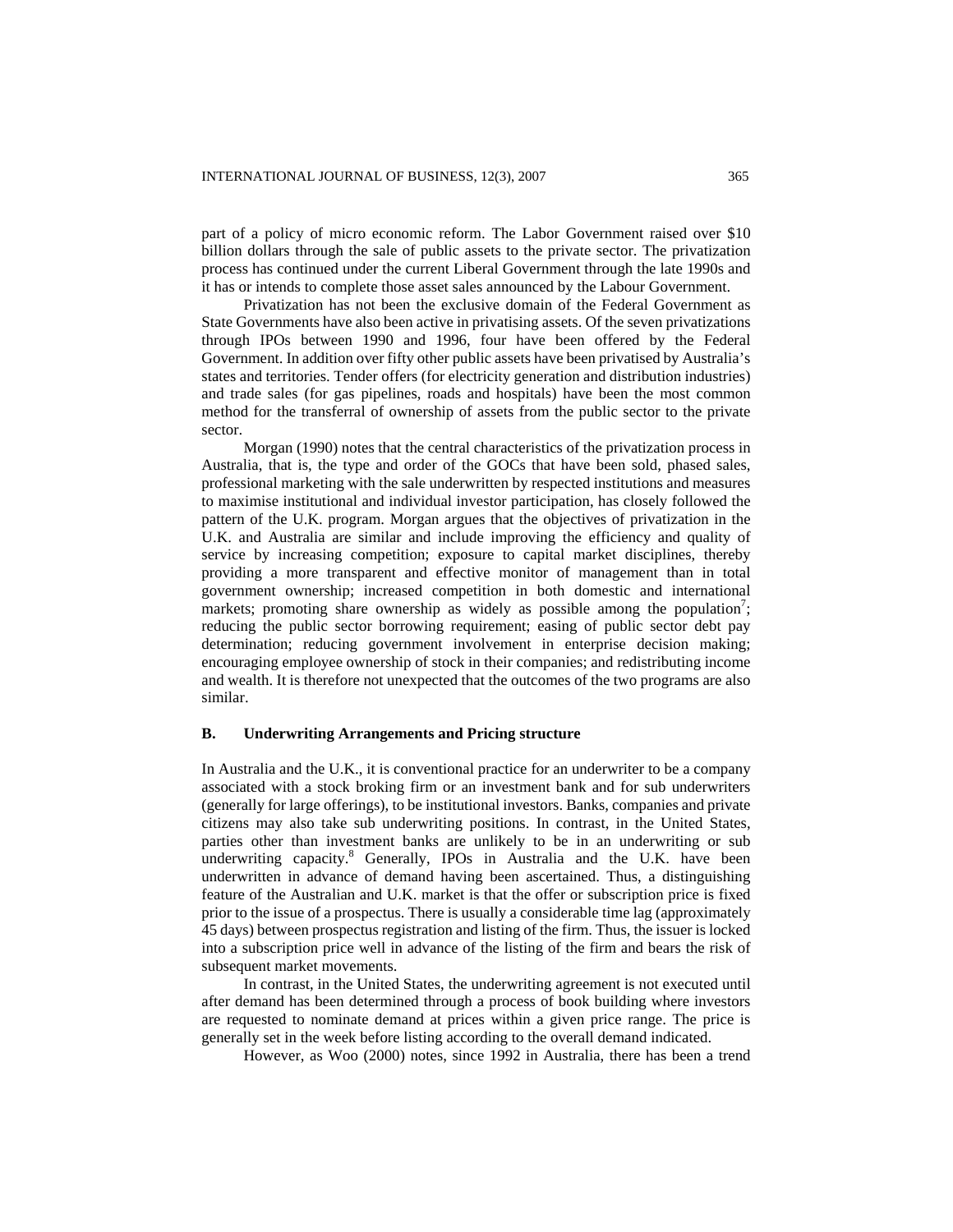part of a policy of micro economic reform. The Labor Government raised over \$10 billion dollars through the sale of public assets to the private sector. The privatization process has continued under the current Liberal Government through the late 1990s and it has or intends to complete those asset sales announced by the Labour Government.

Privatization has not been the exclusive domain of the Federal Government as State Governments have also been active in privatising assets. Of the seven privatizations through IPOs between 1990 and 1996, four have been offered by the Federal Government. In addition over fifty other public assets have been privatised by Australia's states and territories. Tender offers (for electricity generation and distribution industries) and trade sales (for gas pipelines, roads and hospitals) have been the most common method for the transferral of ownership of assets from the public sector to the private sector.

Morgan (1990) notes that the central characteristics of the privatization process in Australia, that is, the type and order of the GOCs that have been sold, phased sales, professional marketing with the sale underwritten by respected institutions and measures to maximise institutional and individual investor participation, has closely followed the pattern of the U.K. program. Morgan argues that the objectives of privatization in the U.K. and Australia are similar and include improving the efficiency and quality of service by increasing competition; exposure to capital market disciplines, thereby providing a more transparent and effective monitor of management than in total government ownership; increased competition in both domestic and international markets; promoting share ownership as widely as possible among the population<sup>7</sup>; reducing the public sector borrowing requirement; easing of public sector debt pay determination; reducing government involvement in enterprise decision making; encouraging employee ownership of stock in their companies; and redistributing income and wealth. It is therefore not unexpected that the outcomes of the two programs are also similar.

#### **B. Underwriting Arrangements and Pricing structure**

In Australia and the U.K., it is conventional practice for an underwriter to be a company associated with a stock broking firm or an investment bank and for sub underwriters (generally for large offerings), to be institutional investors. Banks, companies and private citizens may also take sub underwriting positions. In contrast, in the United States, parties other than investment banks are unlikely to be in an underwriting or sub underwriting capacity.<sup>8</sup> Generally, IPOs in Australia and the U.K. have been underwritten in advance of demand having been ascertained. Thus, a distinguishing feature of the Australian and U.K. market is that the offer or subscription price is fixed prior to the issue of a prospectus. There is usually a considerable time lag (approximately 45 days) between prospectus registration and listing of the firm. Thus, the issuer is locked into a subscription price well in advance of the listing of the firm and bears the risk of subsequent market movements.

In contrast, in the United States, the underwriting agreement is not executed until after demand has been determined through a process of book building where investors are requested to nominate demand at prices within a given price range. The price is generally set in the week before listing according to the overall demand indicated.

However, as Woo (2000) notes, since 1992 in Australia, there has been a trend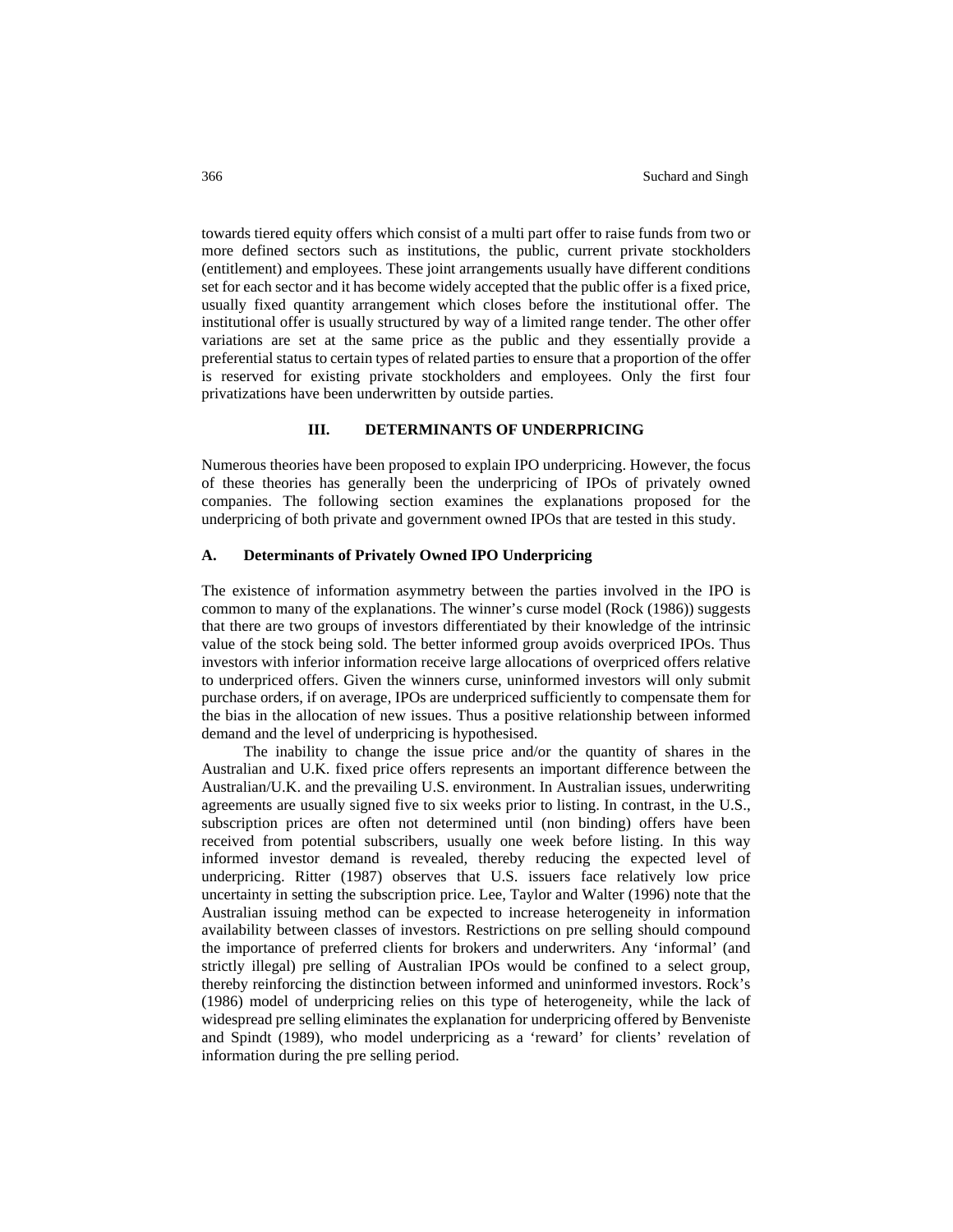towards tiered equity offers which consist of a multi part offer to raise funds from two or more defined sectors such as institutions, the public, current private stockholders (entitlement) and employees. These joint arrangements usually have different conditions set for each sector and it has become widely accepted that the public offer is a fixed price, usually fixed quantity arrangement which closes before the institutional offer. The institutional offer is usually structured by way of a limited range tender. The other offer variations are set at the same price as the public and they essentially provide a preferential status to certain types of related parties to ensure that a proportion of the offer is reserved for existing private stockholders and employees. Only the first four privatizations have been underwritten by outside parties.

## **III. DETERMINANTS OF UNDERPRICING**

Numerous theories have been proposed to explain IPO underpricing. However, the focus of these theories has generally been the underpricing of IPOs of privately owned companies. The following section examines the explanations proposed for the underpricing of both private and government owned IPOs that are tested in this study.

# **A. Determinants of Privately Owned IPO Underpricing**

The existence of information asymmetry between the parties involved in the IPO is common to many of the explanations. The winner's curse model (Rock (1986)) suggests that there are two groups of investors differentiated by their knowledge of the intrinsic value of the stock being sold. The better informed group avoids overpriced IPOs. Thus investors with inferior information receive large allocations of overpriced offers relative to underpriced offers. Given the winners curse, uninformed investors will only submit purchase orders, if on average, IPOs are underpriced sufficiently to compensate them for the bias in the allocation of new issues. Thus a positive relationship between informed demand and the level of underpricing is hypothesised.

The inability to change the issue price and/or the quantity of shares in the Australian and U.K. fixed price offers represents an important difference between the Australian/U.K. and the prevailing U.S. environment. In Australian issues, underwriting agreements are usually signed five to six weeks prior to listing. In contrast, in the U.S., subscription prices are often not determined until (non binding) offers have been received from potential subscribers, usually one week before listing. In this way informed investor demand is revealed, thereby reducing the expected level of underpricing. Ritter (1987) observes that U.S. issuers face relatively low price uncertainty in setting the subscription price. Lee, Taylor and Walter (1996) note that the Australian issuing method can be expected to increase heterogeneity in information availability between classes of investors. Restrictions on pre selling should compound the importance of preferred clients for brokers and underwriters. Any 'informal' (and strictly illegal) pre selling of Australian IPOs would be confined to a select group, thereby reinforcing the distinction between informed and uninformed investors. Rock's (1986) model of underpricing relies on this type of heterogeneity, while the lack of widespread pre selling eliminates the explanation for underpricing offered by Benveniste and Spindt (1989), who model underpricing as a 'reward' for clients' revelation of information during the pre selling period.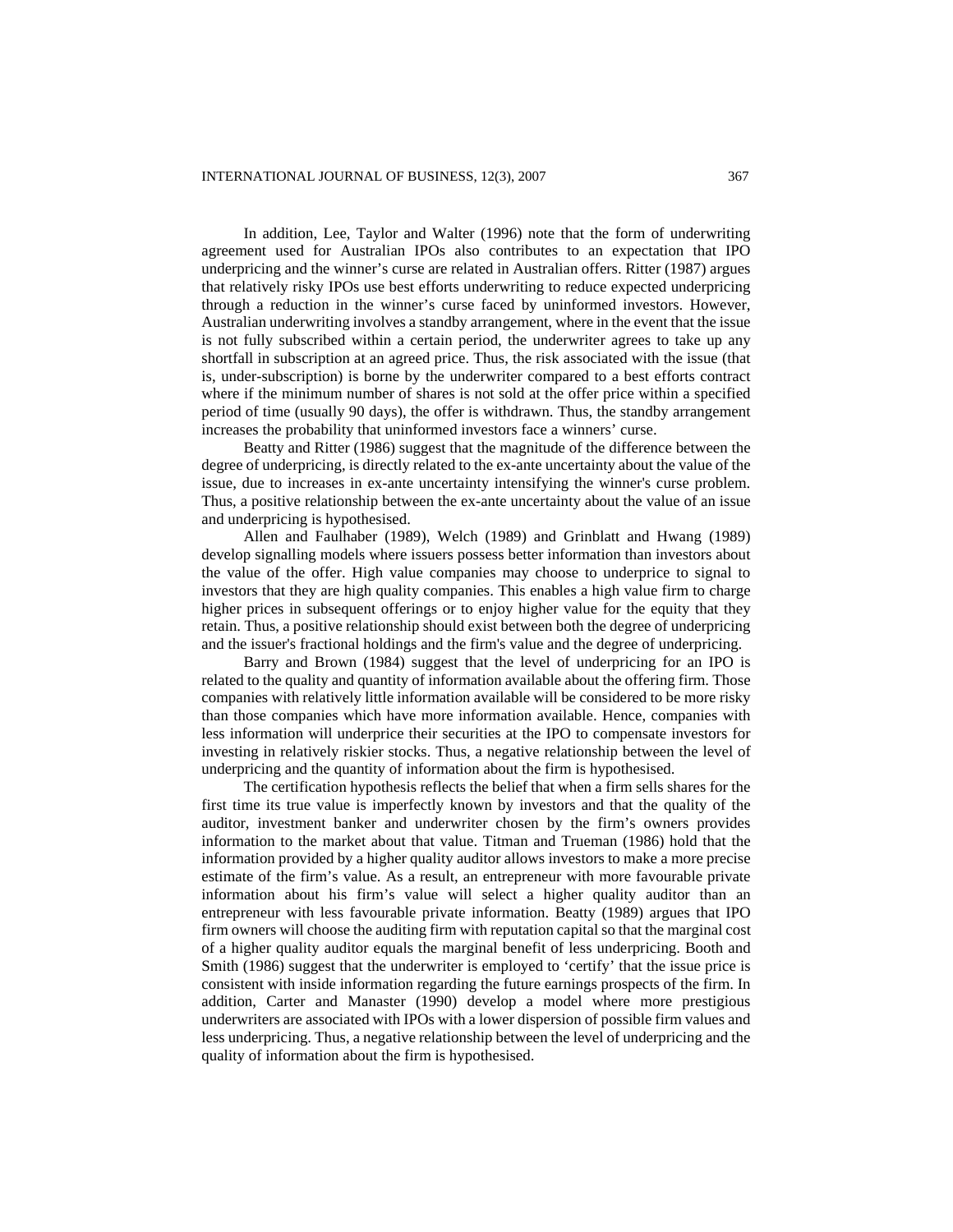In addition, Lee, Taylor and Walter (1996) note that the form of underwriting agreement used for Australian IPOs also contributes to an expectation that IPO underpricing and the winner's curse are related in Australian offers. Ritter (1987) argues that relatively risky IPOs use best efforts underwriting to reduce expected underpricing through a reduction in the winner's curse faced by uninformed investors. However, Australian underwriting involves a standby arrangement, where in the event that the issue is not fully subscribed within a certain period, the underwriter agrees to take up any shortfall in subscription at an agreed price. Thus, the risk associated with the issue (that is, under-subscription) is borne by the underwriter compared to a best efforts contract where if the minimum number of shares is not sold at the offer price within a specified period of time (usually 90 days), the offer is withdrawn. Thus, the standby arrangement increases the probability that uninformed investors face a winners' curse.

Beatty and Ritter (1986) suggest that the magnitude of the difference between the degree of underpricing, is directly related to the ex-ante uncertainty about the value of the issue, due to increases in ex-ante uncertainty intensifying the winner's curse problem. Thus, a positive relationship between the ex-ante uncertainty about the value of an issue and underpricing is hypothesised.

Allen and Faulhaber (1989), Welch (1989) and Grinblatt and Hwang (1989) develop signalling models where issuers possess better information than investors about the value of the offer. High value companies may choose to underprice to signal to investors that they are high quality companies. This enables a high value firm to charge higher prices in subsequent offerings or to enjoy higher value for the equity that they retain. Thus, a positive relationship should exist between both the degree of underpricing and the issuer's fractional holdings and the firm's value and the degree of underpricing.

Barry and Brown (1984) suggest that the level of underpricing for an IPO is related to the quality and quantity of information available about the offering firm. Those companies with relatively little information available will be considered to be more risky than those companies which have more information available. Hence, companies with less information will underprice their securities at the IPO to compensate investors for investing in relatively riskier stocks. Thus, a negative relationship between the level of underpricing and the quantity of information about the firm is hypothesised.

The certification hypothesis reflects the belief that when a firm sells shares for the first time its true value is imperfectly known by investors and that the quality of the auditor, investment banker and underwriter chosen by the firm's owners provides information to the market about that value. Titman and Trueman (1986) hold that the information provided by a higher quality auditor allows investors to make a more precise estimate of the firm's value. As a result, an entrepreneur with more favourable private information about his firm's value will select a higher quality auditor than an entrepreneur with less favourable private information. Beatty (1989) argues that IPO firm owners will choose the auditing firm with reputation capital so that the marginal cost of a higher quality auditor equals the marginal benefit of less underpricing. Booth and Smith (1986) suggest that the underwriter is employed to 'certify' that the issue price is consistent with inside information regarding the future earnings prospects of the firm. In addition, Carter and Manaster (1990) develop a model where more prestigious underwriters are associated with IPOs with a lower dispersion of possible firm values and less underpricing. Thus, a negative relationship between the level of underpricing and the quality of information about the firm is hypothesised.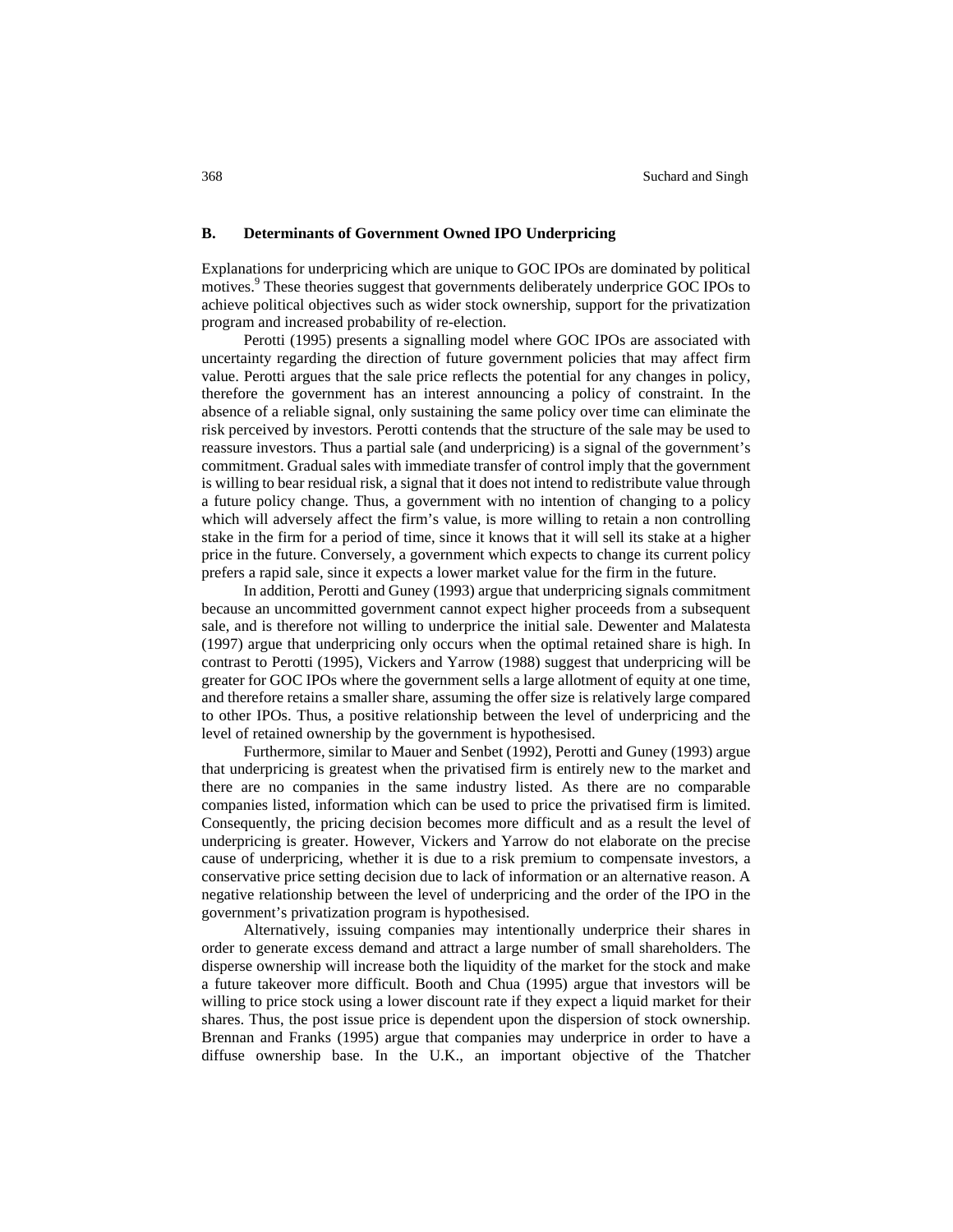#### **B. Determinants of Government Owned IPO Underpricing**

Explanations for underpricing which are unique to GOC IPOs are dominated by political motives.<sup>9</sup> These theories suggest that governments deliberately underprice GOC IPOs to achieve political objectives such as wider stock ownership, support for the privatization program and increased probability of re-election.

Perotti (1995) presents a signalling model where GOC IPOs are associated with uncertainty regarding the direction of future government policies that may affect firm value. Perotti argues that the sale price reflects the potential for any changes in policy, therefore the government has an interest announcing a policy of constraint. In the absence of a reliable signal, only sustaining the same policy over time can eliminate the risk perceived by investors. Perotti contends that the structure of the sale may be used to reassure investors. Thus a partial sale (and underpricing) is a signal of the government's commitment. Gradual sales with immediate transfer of control imply that the government is willing to bear residual risk, a signal that it does not intend to redistribute value through a future policy change. Thus, a government with no intention of changing to a policy which will adversely affect the firm's value, is more willing to retain a non controlling stake in the firm for a period of time, since it knows that it will sell its stake at a higher price in the future. Conversely, a government which expects to change its current policy prefers a rapid sale, since it expects a lower market value for the firm in the future.

In addition, Perotti and Guney (1993) argue that underpricing signals commitment because an uncommitted government cannot expect higher proceeds from a subsequent sale, and is therefore not willing to underprice the initial sale. Dewenter and Malatesta (1997) argue that underpricing only occurs when the optimal retained share is high. In contrast to Perotti (1995), Vickers and Yarrow (1988) suggest that underpricing will be greater for GOC IPOs where the government sells a large allotment of equity at one time, and therefore retains a smaller share, assuming the offer size is relatively large compared to other IPOs. Thus, a positive relationship between the level of underpricing and the level of retained ownership by the government is hypothesised.

Furthermore, similar to Mauer and Senbet (1992), Perotti and Guney (1993) argue that underpricing is greatest when the privatised firm is entirely new to the market and there are no companies in the same industry listed. As there are no comparable companies listed, information which can be used to price the privatised firm is limited. Consequently, the pricing decision becomes more difficult and as a result the level of underpricing is greater. However, Vickers and Yarrow do not elaborate on the precise cause of underpricing, whether it is due to a risk premium to compensate investors, a conservative price setting decision due to lack of information or an alternative reason. A negative relationship between the level of underpricing and the order of the IPO in the government's privatization program is hypothesised.

Alternatively, issuing companies may intentionally underprice their shares in order to generate excess demand and attract a large number of small shareholders. The disperse ownership will increase both the liquidity of the market for the stock and make a future takeover more difficult. Booth and Chua (1995) argue that investors will be willing to price stock using a lower discount rate if they expect a liquid market for their shares. Thus, the post issue price is dependent upon the dispersion of stock ownership. Brennan and Franks (1995) argue that companies may underprice in order to have a diffuse ownership base. In the U.K., an important objective of the Thatcher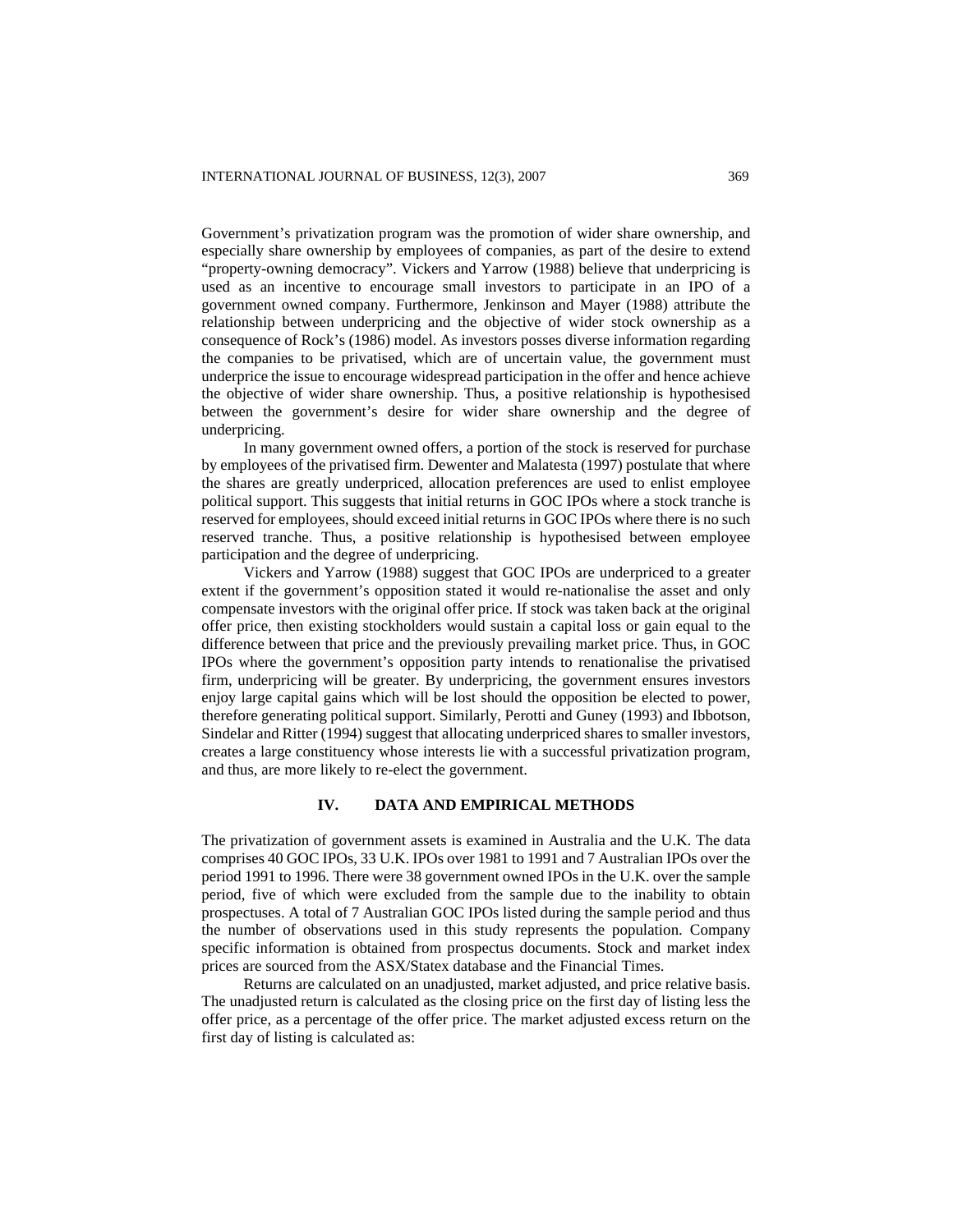Government's privatization program was the promotion of wider share ownership, and especially share ownership by employees of companies, as part of the desire to extend "property-owning democracy". Vickers and Yarrow (1988) believe that underpricing is used as an incentive to encourage small investors to participate in an IPO of a government owned company. Furthermore, Jenkinson and Mayer (1988) attribute the relationship between underpricing and the objective of wider stock ownership as a consequence of Rock's (1986) model. As investors posses diverse information regarding the companies to be privatised, which are of uncertain value, the government must underprice the issue to encourage widespread participation in the offer and hence achieve the objective of wider share ownership. Thus, a positive relationship is hypothesised between the government's desire for wider share ownership and the degree of underpricing.

In many government owned offers, a portion of the stock is reserved for purchase by employees of the privatised firm. Dewenter and Malatesta (1997) postulate that where the shares are greatly underpriced, allocation preferences are used to enlist employee political support. This suggests that initial returns in GOC IPOs where a stock tranche is reserved for employees, should exceed initial returns in GOC IPOs where there is no such reserved tranche. Thus, a positive relationship is hypothesised between employee participation and the degree of underpricing.

Vickers and Yarrow (1988) suggest that GOC IPOs are underpriced to a greater extent if the government's opposition stated it would re-nationalise the asset and only compensate investors with the original offer price. If stock was taken back at the original offer price, then existing stockholders would sustain a capital loss or gain equal to the difference between that price and the previously prevailing market price. Thus, in GOC IPOs where the government's opposition party intends to renationalise the privatised firm, underpricing will be greater. By underpricing, the government ensures investors enjoy large capital gains which will be lost should the opposition be elected to power, therefore generating political support. Similarly, Perotti and Guney (1993) and Ibbotson, Sindelar and Ritter (1994) suggest that allocating underpriced shares to smaller investors, creates a large constituency whose interests lie with a successful privatization program, and thus, are more likely to re-elect the government.

# **IV. DATA AND EMPIRICAL METHODS**

The privatization of government assets is examined in Australia and the U.K. The data comprises 40 GOC IPOs, 33 U.K. IPOs over 1981 to 1991 and 7 Australian IPOs over the period 1991 to 1996. There were 38 government owned IPOs in the U.K. over the sample period, five of which were excluded from the sample due to the inability to obtain prospectuses. A total of 7 Australian GOC IPOs listed during the sample period and thus the number of observations used in this study represents the population. Company specific information is obtained from prospectus documents. Stock and market index prices are sourced from the ASX/Statex database and the Financial Times.

Returns are calculated on an unadjusted, market adjusted, and price relative basis. The unadjusted return is calculated as the closing price on the first day of listing less the offer price, as a percentage of the offer price. The market adjusted excess return on the first day of listing is calculated as: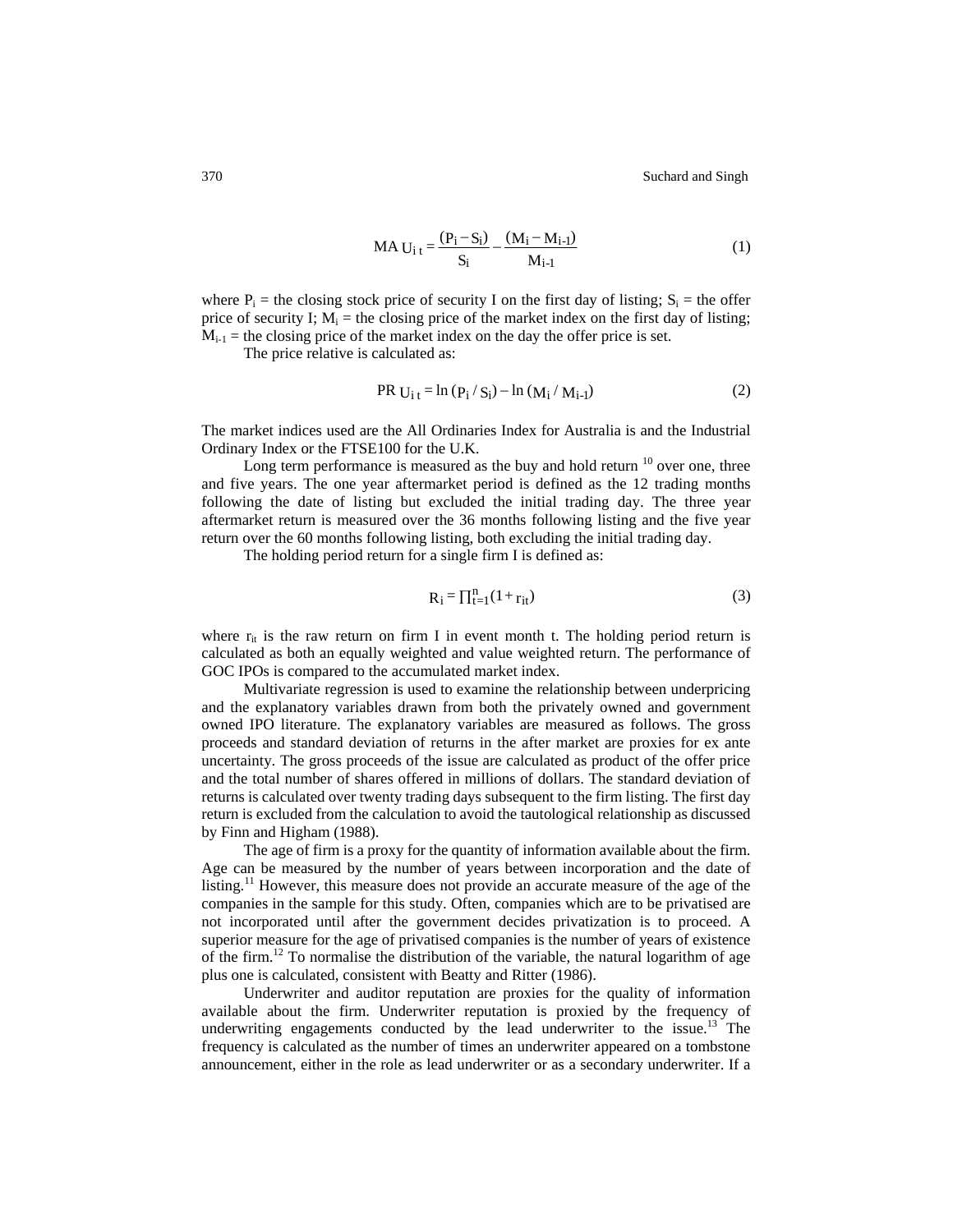370 Suchard and Singh

$$
MA U_{i t} = \frac{(P_i - S_i)}{S_i} - \frac{(M_i - M_{i-1})}{M_{i-1}}
$$
(1)

where  $P_i$  = the closing stock price of security I on the first day of listing;  $S_i$  = the offer price of security I;  $M_i$  = the closing price of the market index on the first day of listing;  $M_{i-1}$  = the closing price of the market index on the day the offer price is set.

The price relative is calculated as:

PR 
$$
U_{i t} = \ln (P_i / S_i) - \ln (M_i / M_{i-1})
$$
 (2)

The market indices used are the All Ordinaries Index for Australia is and the Industrial Ordinary Index or the FTSE100 for the U.K.

Long term performance is measured as the buy and hold return  $10$  over one, three and five years. The one year aftermarket period is defined as the 12 trading months following the date of listing but excluded the initial trading day. The three year aftermarket return is measured over the 36 months following listing and the five year return over the 60 months following listing, both excluding the initial trading day.

The holding period return for a single firm I is defined as:

$$
R_i = \prod_{t=1}^{n} (1 + r_{it})
$$
 (3)

where  $r_{it}$  is the raw return on firm I in event month t. The holding period return is calculated as both an equally weighted and value weighted return. The performance of GOC IPOs is compared to the accumulated market index.

Multivariate regression is used to examine the relationship between underpricing and the explanatory variables drawn from both the privately owned and government owned IPO literature. The explanatory variables are measured as follows. The gross proceeds and standard deviation of returns in the after market are proxies for ex ante uncertainty. The gross proceeds of the issue are calculated as product of the offer price and the total number of shares offered in millions of dollars. The standard deviation of returns is calculated over twenty trading days subsequent to the firm listing. The first day return is excluded from the calculation to avoid the tautological relationship as discussed by Finn and Higham (1988).

The age of firm is a proxy for the quantity of information available about the firm. Age can be measured by the number of years between incorporation and the date of listing.<sup>11</sup> However, this measure does not provide an accurate measure of the age of the companies in the sample for this study. Often, companies which are to be privatised are not incorporated until after the government decides privatization is to proceed. A superior measure for the age of privatised companies is the number of years of existence of the firm.12 To normalise the distribution of the variable, the natural logarithm of age plus one is calculated, consistent with Beatty and Ritter (1986).

Underwriter and auditor reputation are proxies for the quality of information available about the firm. Underwriter reputation is proxied by the frequency of underwriting engagements conducted by the lead underwriter to the issue.<sup>13</sup> The frequency is calculated as the number of times an underwriter appeared on a tombstone announcement, either in the role as lead underwriter or as a secondary underwriter. If a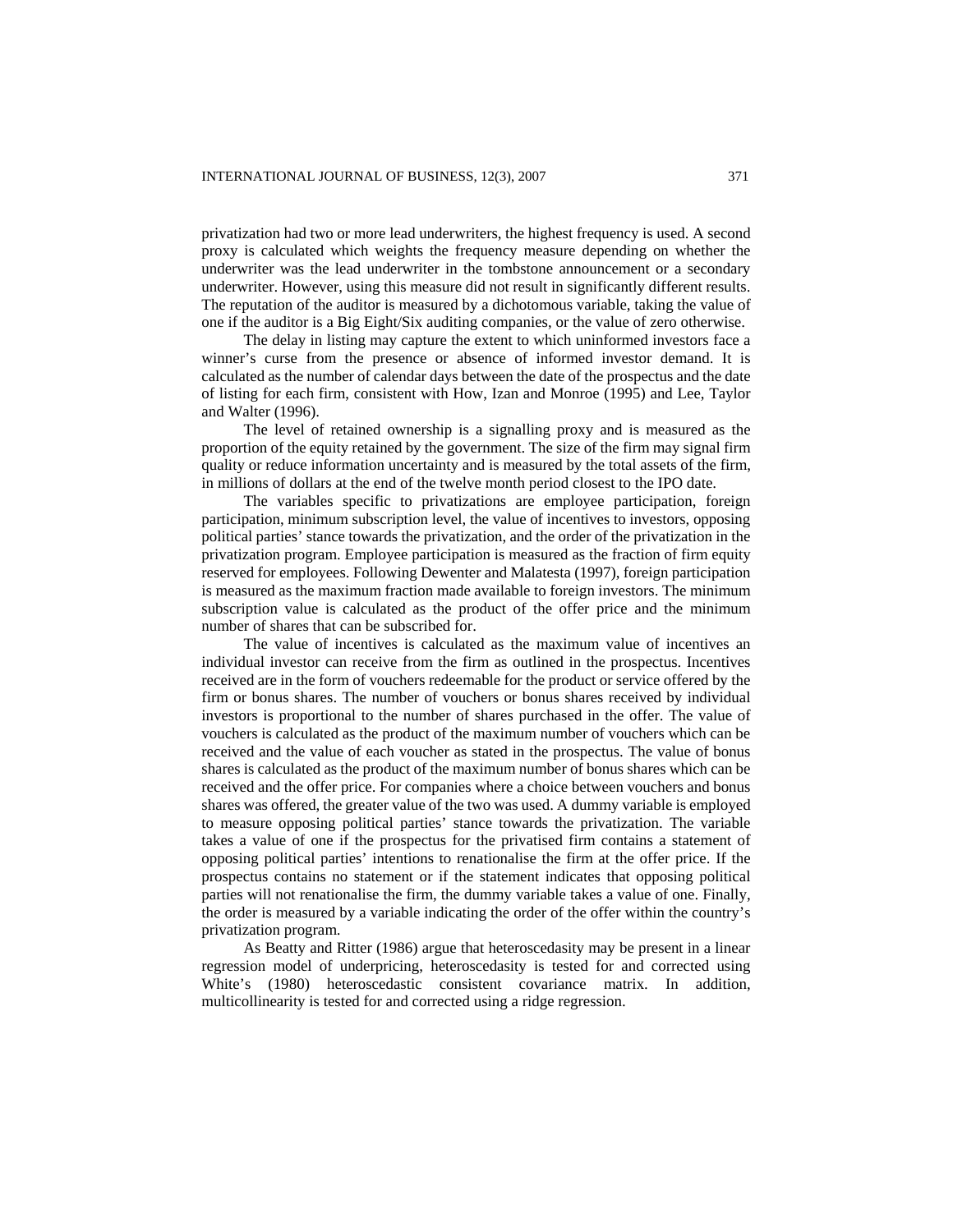privatization had two or more lead underwriters, the highest frequency is used. A second proxy is calculated which weights the frequency measure depending on whether the underwriter was the lead underwriter in the tombstone announcement or a secondary underwriter. However, using this measure did not result in significantly different results. The reputation of the auditor is measured by a dichotomous variable, taking the value of one if the auditor is a Big Eight/Six auditing companies, or the value of zero otherwise.

The delay in listing may capture the extent to which uninformed investors face a winner's curse from the presence or absence of informed investor demand. It is calculated as the number of calendar days between the date of the prospectus and the date of listing for each firm, consistent with How, Izan and Monroe (1995) and Lee, Taylor and Walter (1996).

The level of retained ownership is a signalling proxy and is measured as the proportion of the equity retained by the government. The size of the firm may signal firm quality or reduce information uncertainty and is measured by the total assets of the firm, in millions of dollars at the end of the twelve month period closest to the IPO date.

The variables specific to privatizations are employee participation, foreign participation, minimum subscription level, the value of incentives to investors, opposing political parties' stance towards the privatization, and the order of the privatization in the privatization program. Employee participation is measured as the fraction of firm equity reserved for employees. Following Dewenter and Malatesta (1997), foreign participation is measured as the maximum fraction made available to foreign investors. The minimum subscription value is calculated as the product of the offer price and the minimum number of shares that can be subscribed for.

The value of incentives is calculated as the maximum value of incentives an individual investor can receive from the firm as outlined in the prospectus. Incentives received are in the form of vouchers redeemable for the product or service offered by the firm or bonus shares. The number of vouchers or bonus shares received by individual investors is proportional to the number of shares purchased in the offer. The value of vouchers is calculated as the product of the maximum number of vouchers which can be received and the value of each voucher as stated in the prospectus. The value of bonus shares is calculated as the product of the maximum number of bonus shares which can be received and the offer price. For companies where a choice between vouchers and bonus shares was offered, the greater value of the two was used. A dummy variable is employed to measure opposing political parties' stance towards the privatization. The variable takes a value of one if the prospectus for the privatised firm contains a statement of opposing political parties' intentions to renationalise the firm at the offer price. If the prospectus contains no statement or if the statement indicates that opposing political parties will not renationalise the firm, the dummy variable takes a value of one. Finally, the order is measured by a variable indicating the order of the offer within the country's privatization program.

As Beatty and Ritter (1986) argue that heteroscedasity may be present in a linear regression model of underpricing, heteroscedasity is tested for and corrected using White's (1980) heteroscedastic consistent covariance matrix. In addition, multicollinearity is tested for and corrected using a ridge regression.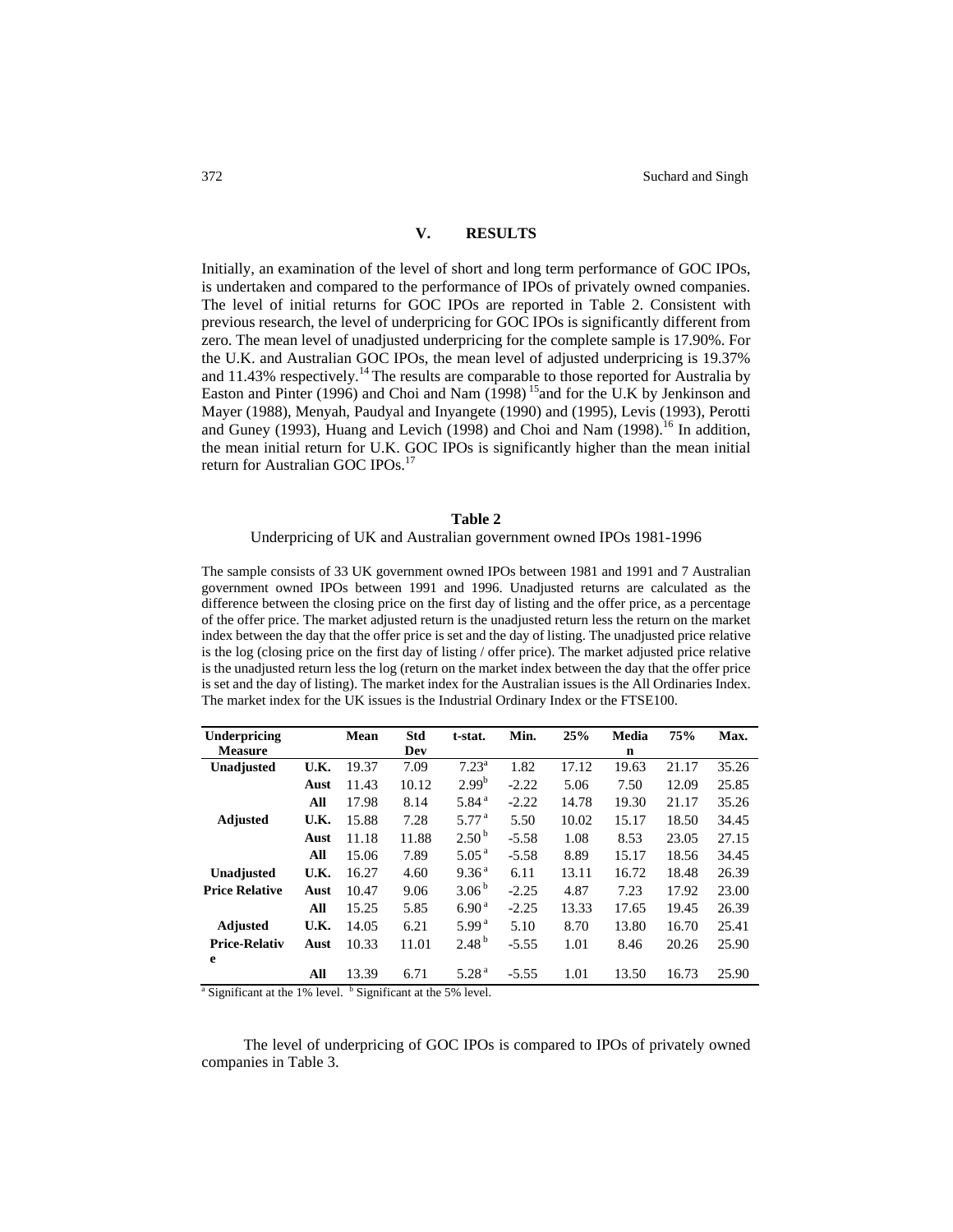# **V. RESULTS**

Initially, an examination of the level of short and long term performance of GOC IPOs, is undertaken and compared to the performance of IPOs of privately owned companies. The level of initial returns for GOC IPOs are reported in Table 2. Consistent with previous research, the level of underpricing for GOC IPOs is significantly different from zero. The mean level of unadjusted underpricing for the complete sample is 17.90%. For the U.K. and Australian GOC IPOs, the mean level of adjusted underpricing is 19.37% and 11.43% respectively.<sup>14</sup> The results are comparable to those reported for Australia by Easton and Pinter (1996) and Choi and Nam  $(1998)$ <sup>15</sup>and for the U.K by Jenkinson and Mayer (1988), Menyah, Paudyal and Inyangete (1990) and (1995), Levis (1993), Perotti and Guney (1993), Huang and Levich (1998) and Choi and Nam (1998).<sup>16</sup> In addition, the mean initial return for U.K. GOC IPOs is significantly higher than the mean initial return for Australian GOC IPOs.<sup>17</sup>

#### **Table 2**

## Underpricing of UK and Australian government owned IPOs 1981-1996

The sample consists of 33 UK government owned IPOs between 1981 and 1991 and 7 Australian government owned IPOs between 1991 and 1996. Unadjusted returns are calculated as the difference between the closing price on the first day of listing and the offer price, as a percentage of the offer price. The market adjusted return is the unadjusted return less the return on the market index between the day that the offer price is set and the day of listing. The unadjusted price relative is the log (closing price on the first day of listing / offer price). The market adjusted price relative is the unadjusted return less the log (return on the market index between the day that the offer price is set and the day of listing). The market index for the Australian issues is the All Ordinaries Index. The market index for the UK issues is the Industrial Ordinary Index or the FTSE100.

| Underpricing                                                                        |      | Mean  | Std   | t-stat.           | Min.    | 25%   | Media | 75%   | Max.  |
|-------------------------------------------------------------------------------------|------|-------|-------|-------------------|---------|-------|-------|-------|-------|
| <b>Measure</b>                                                                      |      |       | Dev   |                   |         |       | n     |       |       |
| Unadjusted                                                                          | U.K. | 19.37 | 7.09  | $7.23^{\rm a}$    | 1.82    | 17.12 | 19.63 | 21.17 | 35.26 |
|                                                                                     | Aust | 11.43 | 10.12 | $2.99^{b}$        | $-2.22$ | 5.06  | 7.50  | 12.09 | 25.85 |
|                                                                                     | All  | 17.98 | 8.14  | 5.84 <sup>a</sup> | $-2.22$ | 14.78 | 19.30 | 21.17 | 35.26 |
| <b>Adjusted</b>                                                                     | U.K. | 15.88 | 7.28  | 5.77 <sup>a</sup> | 5.50    | 10.02 | 15.17 | 18.50 | 34.45 |
|                                                                                     | Aust | 11.18 | 11.88 | 2.50 <sup>b</sup> | $-5.58$ | 1.08  | 8.53  | 23.05 | 27.15 |
|                                                                                     | All  | 15.06 | 7.89  | 5.05 <sup>a</sup> | $-5.58$ | 8.89  | 15.17 | 18.56 | 34.45 |
| Unadjusted                                                                          | U.K. | 16.27 | 4.60  | 9.36 <sup>a</sup> | 6.11    | 13.11 | 16.72 | 18.48 | 26.39 |
| <b>Price Relative</b>                                                               | Aust | 10.47 | 9.06  | 3.06 <sup>b</sup> | $-2.25$ | 4.87  | 7.23  | 17.92 | 23.00 |
|                                                                                     | All  | 15.25 | 5.85  | 6.90 <sup>a</sup> | $-2.25$ | 13.33 | 17.65 | 19.45 | 26.39 |
| <b>Adjusted</b>                                                                     | U.K. | 14.05 | 6.21  | 5.99 <sup>a</sup> | 5.10    | 8.70  | 13.80 | 16.70 | 25.41 |
| <b>Price-Relativ</b>                                                                | Aust | 10.33 | 11.01 | 2.48 <sup>b</sup> | $-5.55$ | 1.01  | 8.46  | 20.26 | 25.90 |
| e                                                                                   |      |       |       |                   |         |       |       |       |       |
|                                                                                     | All  | 13.39 | 6.71  | 5.28 <sup>a</sup> | $-5.55$ | 1.01  | 13.50 | 16.73 | 25.90 |
| <sup>a</sup> Significant at the 1% level. <sup>b</sup> Significant at the 5% level. |      |       |       |                   |         |       |       |       |       |

The level of underpricing of GOC IPOs is compared to IPOs of privately owned companies in Table 3.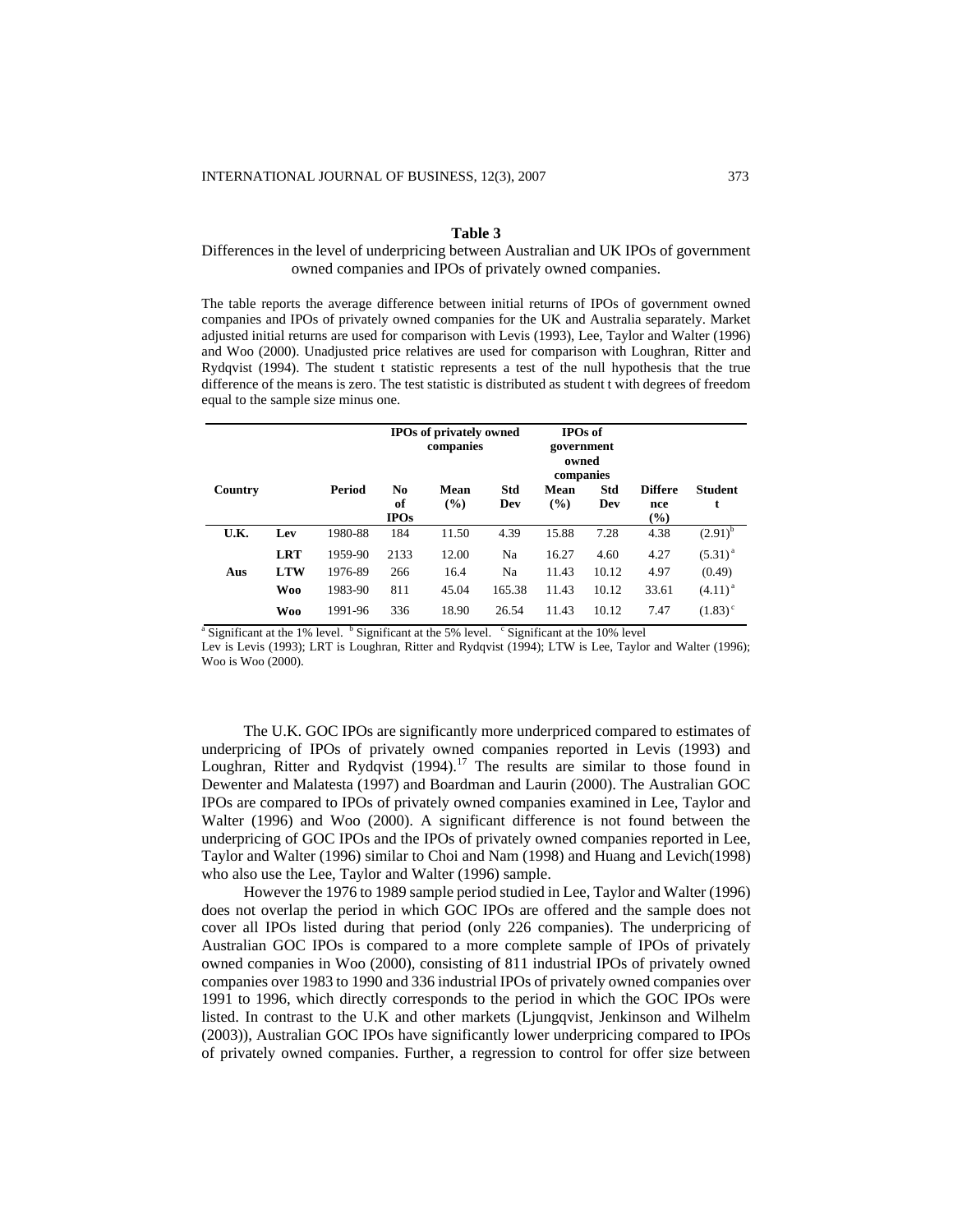#### **Table 3**

# Differences in the level of underpricing between Australian and UK IPOs of government owned companies and IPOs of privately owned companies.

The table reports the average difference between initial returns of IPOs of government owned companies and IPOs of privately owned companies for the UK and Australia separately. Market adjusted initial returns are used for comparison with Levis (1993), Lee, Taylor and Walter (1996) and Woo (2000). Unadjusted price relatives are used for comparison with Loughran, Ritter and Rydqvist (1994). The student t statistic represents a test of the null hypothesis that the true difference of the means is zero. The test statistic is distributed as student t with degrees of freedom equal to the sample size minus one.

|         |            |         |                         | <b>IPOs of privately owned</b><br>companies |            | <b>IPOs of</b><br>government<br>owned<br>companies |            |                              |                     |
|---------|------------|---------|-------------------------|---------------------------------------------|------------|----------------------------------------------------|------------|------------------------------|---------------------|
| Country |            | Period  | No<br>of<br><b>IPOs</b> | Mean<br>$($ %)                              | Std<br>Dev | Mean<br>(%)                                        | Std<br>Dev | <b>Differe</b><br>nce<br>(%) | <b>Student</b><br>t |
| U.K.    | Lev        | 1980-88 | 184                     | 11.50                                       | 4.39       | 15.88                                              | 7.28       | 4.38                         | $(2.91)^{b}$        |
|         | <b>LRT</b> | 1959-90 | 2133                    | 12.00                                       | Na         | 16.27                                              | 4.60       | 4.27                         | $(5.31)^{a}$        |
| Aus     | <b>LTW</b> | 1976-89 | 266                     | 16.4                                        | Na         | 11.43                                              | 10.12      | 4.97                         | (0.49)              |
|         | <b>Woo</b> | 1983-90 | 811                     | 45.04                                       | 165.38     | 11.43                                              | 10.12      | 33.61                        | $(4.11)^{a}$        |
|         | <b>Woo</b> | 1991-96 | 336                     | 18.90                                       | 26.54      | 11.43                                              | 10.12      | 7.47                         | $(1.83)^{\circ}$    |

 $\alpha$ <sup>a</sup> Significant at the 1% level.  $\beta$  Significant at the 5% level.  $\beta$  Significant at the 10% level

Lev is Levis (1993); LRT is Loughran, Ritter and Rydqvist (1994); LTW is Lee, Taylor and Walter (1996); Woo is Woo (2000).

The U.K. GOC IPOs are significantly more underpriced compared to estimates of underpricing of IPOs of privately owned companies reported in Levis (1993) and Loughran, Ritter and Rydqvist  $(1994)$ .<sup>17</sup> The results are similar to those found in Dewenter and Malatesta (1997) and Boardman and Laurin (2000). The Australian GOC IPOs are compared to IPOs of privately owned companies examined in Lee, Taylor and Walter (1996) and Woo (2000). A significant difference is not found between the underpricing of GOC IPOs and the IPOs of privately owned companies reported in Lee, Taylor and Walter (1996) similar to Choi and Nam (1998) and Huang and Levich(1998) who also use the Lee, Taylor and Walter (1996) sample.

However the 1976 to 1989 sample period studied in Lee, Taylor and Walter (1996) does not overlap the period in which GOC IPOs are offered and the sample does not cover all IPOs listed during that period (only 226 companies). The underpricing of Australian GOC IPOs is compared to a more complete sample of IPOs of privately owned companies in Woo (2000), consisting of 811 industrial IPOs of privately owned companies over 1983 to 1990 and 336 industrial IPOs of privately owned companies over 1991 to 1996, which directly corresponds to the period in which the GOC IPOs were listed. In contrast to the U.K and other markets (Ljungqvist, Jenkinson and Wilhelm (2003)), Australian GOC IPOs have significantly lower underpricing compared to IPOs of privately owned companies. Further, a regression to control for offer size between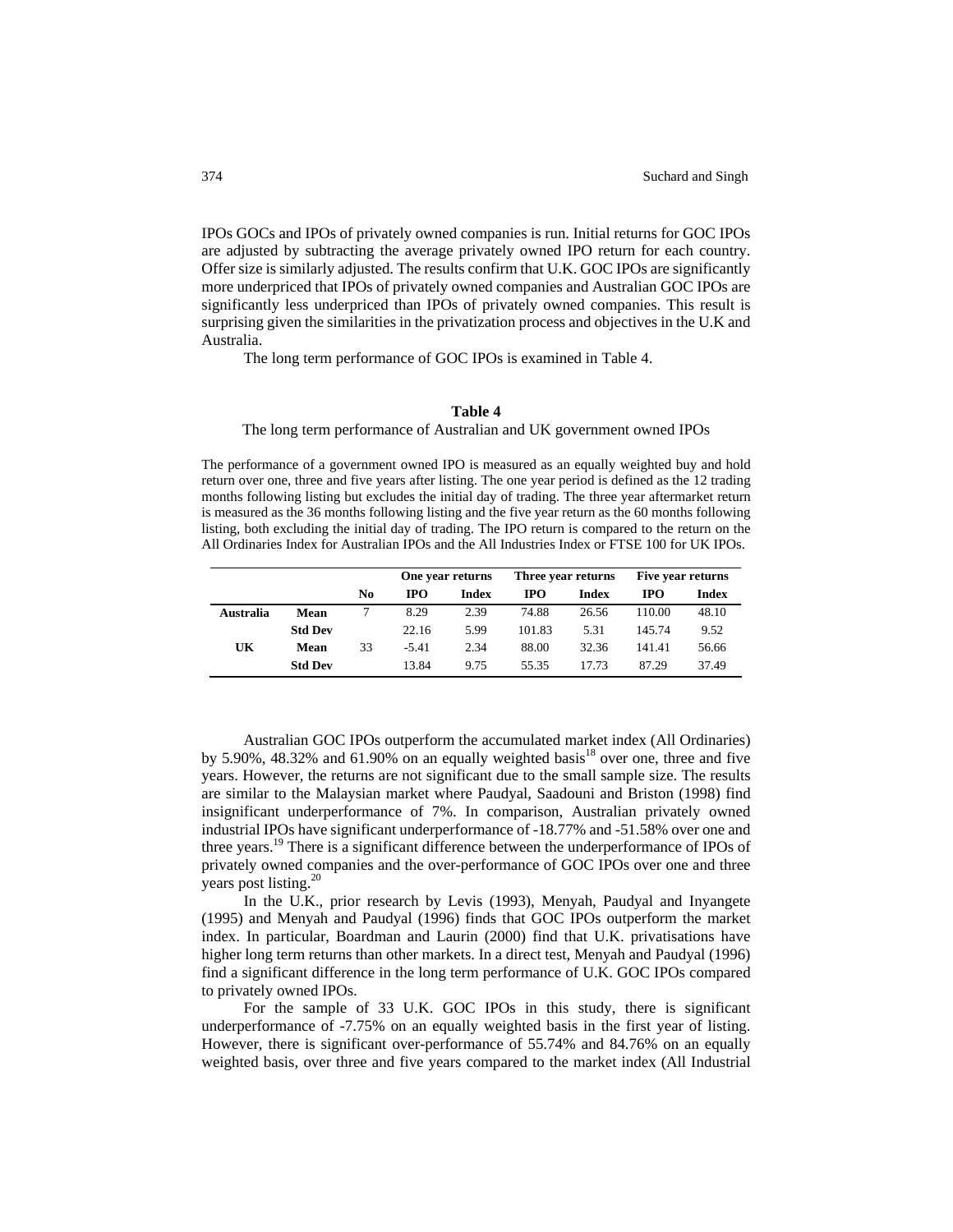IPOs GOCs and IPOs of privately owned companies is run. Initial returns for GOC IPOs are adjusted by subtracting the average privately owned IPO return for each country. Offer size is similarly adjusted. The results confirm that U.K. GOC IPOs are significantly more underpriced that IPOs of privately owned companies and Australian GOC IPOs are significantly less underpriced than IPOs of privately owned companies. This result is surprising given the similarities in the privatization process and objectives in the U.K and Australia.

The long term performance of GOC IPOs is examined in Table 4.

#### **Table 4**

The long term performance of Australian and UK government owned IPOs

The performance of a government owned IPO is measured as an equally weighted buy and hold return over one, three and five years after listing. The one year period is defined as the 12 trading months following listing but excludes the initial day of trading. The three year aftermarket return is measured as the 36 months following listing and the five year return as the 60 months following listing, both excluding the initial day of trading. The IPO return is compared to the return on the All Ordinaries Index for Australian IPOs and the All Industries Index or FTSE 100 for UK IPOs.

|           |                |    | One year returns |       |        | Three year returns | Five year returns |              |
|-----------|----------------|----|------------------|-------|--------|--------------------|-------------------|--------------|
|           |                | No | <b>IPO</b>       | Index | IPO    | Index              | <b>IPO</b>        | <b>Index</b> |
| Australia | Mean           |    | 8.29             | 2.39  | 74.88  | 26.56              | 110.00            | 48.10        |
|           | <b>Std Dev</b> |    | 22.16            | 5.99  | 101.83 | 5.31               | 145.74            | 9.52         |
| UK        | Mean           | 33 | $-5.41$          | 2.34  | 88.00  | 32.36              | 141.41            | 56.66        |
|           | <b>Std Dev</b> |    | 13.84            | 9.75  | 55.35  | 17.73              | 87.29             | 37.49        |

Australian GOC IPOs outperform the accumulated market index (All Ordinaries) by 5.90%, 48.32% and 61.90% on an equally weighted basis<sup>18</sup> over one, three and five years. However, the returns are not significant due to the small sample size. The results are similar to the Malaysian market where Paudyal, Saadouni and Briston (1998) find insignificant underperformance of 7%. In comparison, Australian privately owned industrial IPOs have significant underperformance of -18.77% and -51.58% over one and three years.19 There is a significant difference between the underperformance of IPOs of privately owned companies and the over-performance of GOC IPOs over one and three years post listing.<sup>20</sup>

In the U.K., prior research by Levis (1993), Menyah, Paudyal and Inyangete (1995) and Menyah and Paudyal (1996) finds that GOC IPOs outperform the market index. In particular, Boardman and Laurin (2000) find that U.K. privatisations have higher long term returns than other markets. In a direct test, Menyah and Paudyal (1996) find a significant difference in the long term performance of U.K. GOC IPOs compared to privately owned IPOs.

For the sample of 33 U.K. GOC IPOs in this study, there is significant underperformance of -7.75% on an equally weighted basis in the first year of listing. However, there is significant over-performance of 55.74% and 84.76% on an equally weighted basis, over three and five years compared to the market index (All Industrial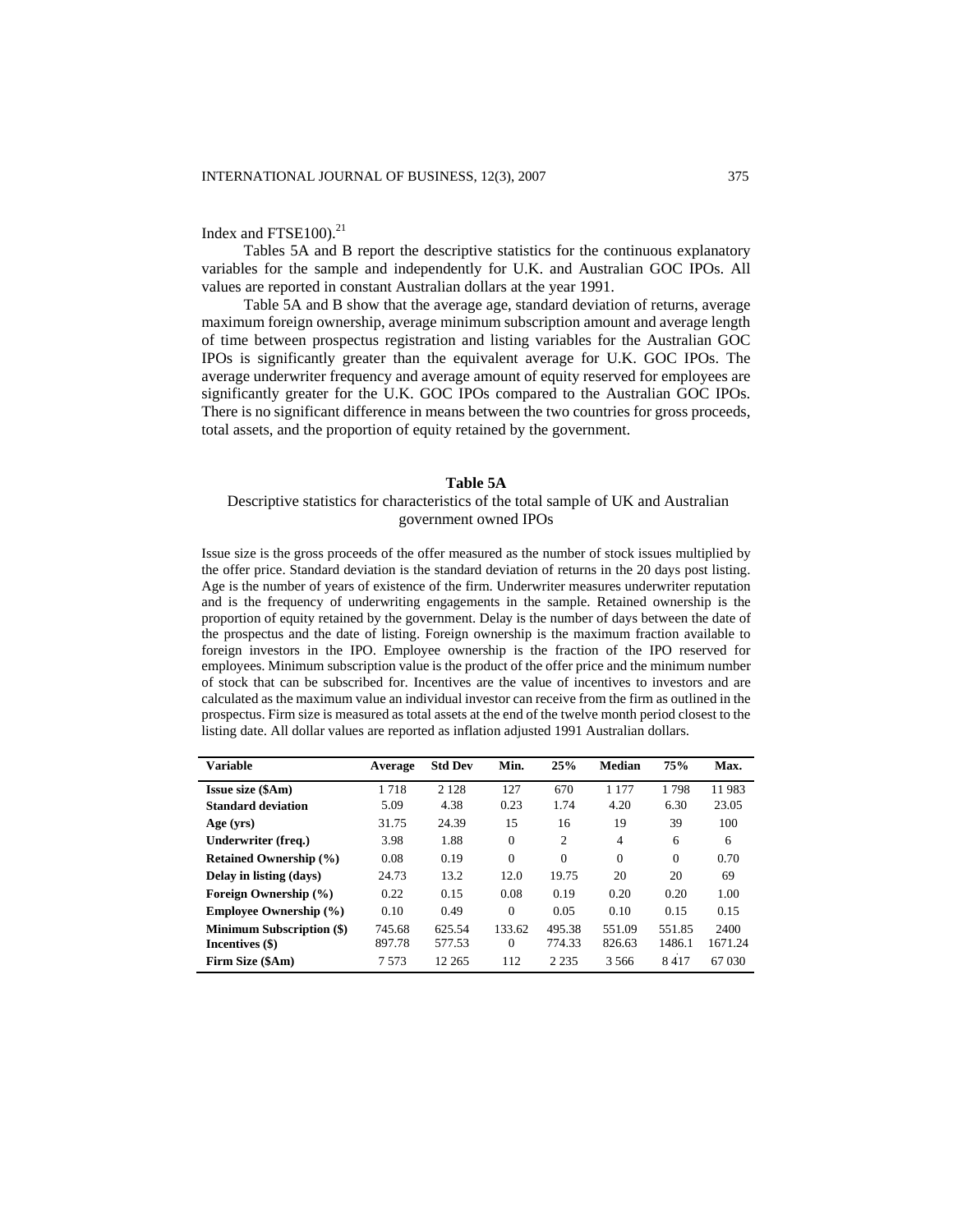# Index and  $FTSE100$ ). $^{21}$

Tables 5A and B report the descriptive statistics for the continuous explanatory variables for the sample and independently for U.K. and Australian GOC IPOs. All values are reported in constant Australian dollars at the year 1991.

 Table 5A and B show that the average age, standard deviation of returns, average maximum foreign ownership, average minimum subscription amount and average length of time between prospectus registration and listing variables for the Australian GOC IPOs is significantly greater than the equivalent average for U.K. GOC IPOs. The average underwriter frequency and average amount of equity reserved for employees are significantly greater for the U.K. GOC IPOs compared to the Australian GOC IPOs. There is no significant difference in means between the two countries for gross proceeds, total assets, and the proportion of equity retained by the government.

#### **Table 5A**

# Descriptive statistics for characteristics of the total sample of UK and Australian government owned IPOs

Issue size is the gross proceeds of the offer measured as the number of stock issues multiplied by the offer price. Standard deviation is the standard deviation of returns in the 20 days post listing. Age is the number of years of existence of the firm. Underwriter measures underwriter reputation and is the frequency of underwriting engagements in the sample. Retained ownership is the proportion of equity retained by the government. Delay is the number of days between the date of the prospectus and the date of listing. Foreign ownership is the maximum fraction available to foreign investors in the IPO. Employee ownership is the fraction of the IPO reserved for employees. Minimum subscription value is the product of the offer price and the minimum number of stock that can be subscribed for. Incentives are the value of incentives to investors and are calculated as the maximum value an individual investor can receive from the firm as outlined in the prospectus. Firm size is measured as total assets at the end of the twelve month period closest to the listing date. All dollar values are reported as inflation adjusted 1991 Australian dollars.

| <b>Variable</b>                  | Average | <b>Std Dev</b> | Min.     | 25%            | Median         | 75%      | Max.    |
|----------------------------------|---------|----------------|----------|----------------|----------------|----------|---------|
| <b>Issue size (\$Am)</b>         | 1718    | 2 1 2 8        | 127      | 670            | 1 1 7 7        | 1798     | 11983   |
| <b>Standard deviation</b>        | 5.09    | 4.38           | 0.23     | 1.74           | 4.20           | 6.30     | 23.05   |
| Age (yrs)                        | 31.75   | 24.39          | 15       | 16             | 19             | 39       | 100     |
| Underwriter (freq.)              | 3.98    | 1.88           | $\theta$ | $\overline{c}$ | $\overline{4}$ | 6        | 6       |
| <b>Retained Ownership (%)</b>    | 0.08    | 0.19           | $\theta$ | $\Omega$       | $\Omega$       | $\Omega$ | 0.70    |
| Delay in listing (days)          | 24.73   | 13.2           | 12.0     | 19.75          | 20             | 20       | 69      |
| Foreign Ownership (%)            | 0.22    | 0.15           | 0.08     | 0.19           | 0.20           | 0.20     | 1.00    |
| <b>Employee Ownership (%)</b>    | 0.10    | 0.49           | $\Omega$ | 0.05           | 0.10           | 0.15     | 0.15    |
| <b>Minimum Subscription (\$)</b> | 745.68  | 625.54         | 133.62   | 495.38         | 551.09         | 551.85   | 2400    |
| Incentives (\$)                  | 897.78  | 577.53         | $\Omega$ | 774.33         | 826.63         | 1486.1   | 1671.24 |
| Firm Size (\$Am)                 | 7573    | 12 265         | 112      | 2 2 3 5        | 3.566          | 8417     | 67 030  |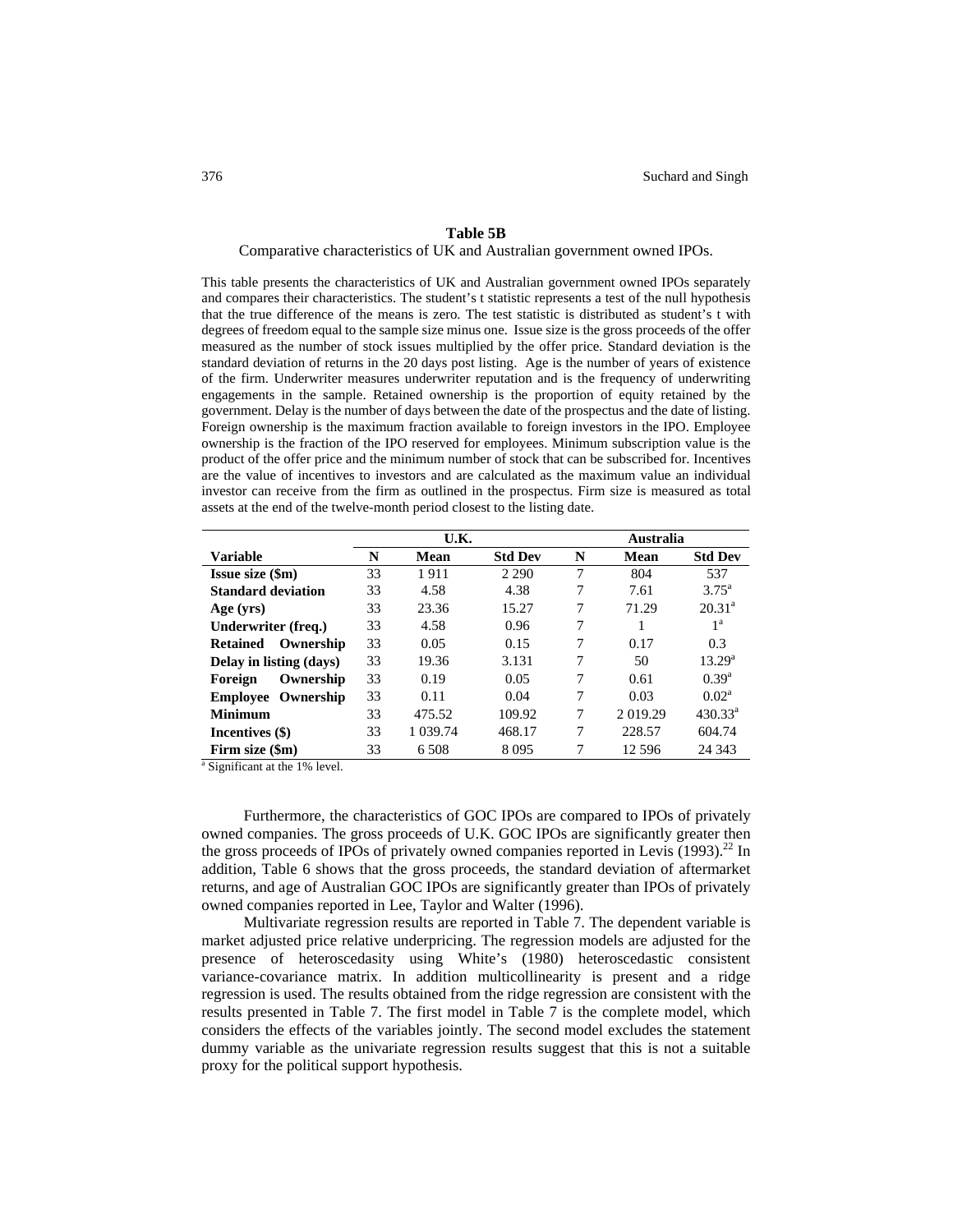#### **Table 5B**

Comparative characteristics of UK and Australian government owned IPOs.

This table presents the characteristics of UK and Australian government owned IPOs separately and compares their characteristics. The student's t statistic represents a test of the null hypothesis that the true difference of the means is zero. The test statistic is distributed as student's t with degrees of freedom equal to the sample size minus one. Issue size is the gross proceeds of the offer measured as the number of stock issues multiplied by the offer price. Standard deviation is the standard deviation of returns in the 20 days post listing. Age is the number of years of existence of the firm. Underwriter measures underwriter reputation and is the frequency of underwriting engagements in the sample. Retained ownership is the proportion of equity retained by the government. Delay is the number of days between the date of the prospectus and the date of listing. Foreign ownership is the maximum fraction available to foreign investors in the IPO. Employee ownership is the fraction of the IPO reserved for employees. Minimum subscription value is the product of the offer price and the minimum number of stock that can be subscribed for. Incentives are the value of incentives to investors and are calculated as the maximum value an individual investor can receive from the firm as outlined in the prospectus. Firm size is measured as total assets at the end of the twelve-month period closest to the listing date.

|                                                                   |    | U.K.     |                | Australia |          |                  |  |
|-------------------------------------------------------------------|----|----------|----------------|-----------|----------|------------------|--|
| <b>Variable</b>                                                   | N  | Mean     | <b>Std Dev</b> | N         | Mean     | <b>Std Dev</b>   |  |
| <b>Issue size (\$m)</b>                                           | 33 | 1911     | 2 2 9 0        | 7         | 804      | 537              |  |
| <b>Standard deviation</b>                                         | 33 | 4.58     | 4.38           | 7         | 7.61     | $3.75^{\rm a}$   |  |
| Age (yrs)                                                         | 33 | 23.36    | 15.27          | 7         | 71.29    | $20.31^a$        |  |
| Underwriter (freq.)                                               | 33 | 4.58     | 0.96           | 7         | 1        | 1 <sup>a</sup>   |  |
| Ownership<br><b>Retained</b>                                      | 33 | 0.05     | 0.15           | 7         | 0.17     | 0.3              |  |
| Delay in listing (days)                                           | 33 | 19.36    | 3.131          | 7         | 50       | $13.29^{\rm a}$  |  |
| Ownership<br>Foreign                                              | 33 | 0.19     | 0.05           | 7         | 0.61     | $0.39^{a}$       |  |
| <b>Employee Ownership</b>                                         | 33 | 0.11     | 0.04           | 7         | 0.03     | $0.02^a$         |  |
| <b>Minimum</b>                                                    | 33 | 475.52   | 109.92         | 7         | 2019.29  | $430.33^{\circ}$ |  |
| Incentives (\$)                                                   | 33 | 1 039.74 | 468.17         | 7         | 228.57   | 604.74           |  |
| Firm size (\$m)                                                   | 33 | 6 5 0 8  | 8095           | 7         | 12 5 9 6 | 24 3 43          |  |
| $^2$ C <sub>i</sub> $\ldots$ ; $\ldots$ $\ldots$ at the 10/ level |    |          |                |           |          |                  |  |

 $\frac{1}{2}$  Significant at the 1% level.

 Furthermore, the characteristics of GOC IPOs are compared to IPOs of privately owned companies. The gross proceeds of U.K. GOC IPOs are significantly greater then the gross proceeds of IPOs of privately owned companies reported in Levis  $(1993)$ .<sup>22</sup> In addition, Table 6 shows that the gross proceeds, the standard deviation of aftermarket returns, and age of Australian GOC IPOs are significantly greater than IPOs of privately owned companies reported in Lee, Taylor and Walter (1996).

 Multivariate regression results are reported in Table 7. The dependent variable is market adjusted price relative underpricing. The regression models are adjusted for the presence of heteroscedasity using White's (1980) heteroscedastic consistent variance-covariance matrix. In addition multicollinearity is present and a ridge regression is used. The results obtained from the ridge regression are consistent with the results presented in Table 7. The first model in Table 7 is the complete model, which considers the effects of the variables jointly. The second model excludes the statement dummy variable as the univariate regression results suggest that this is not a suitable proxy for the political support hypothesis.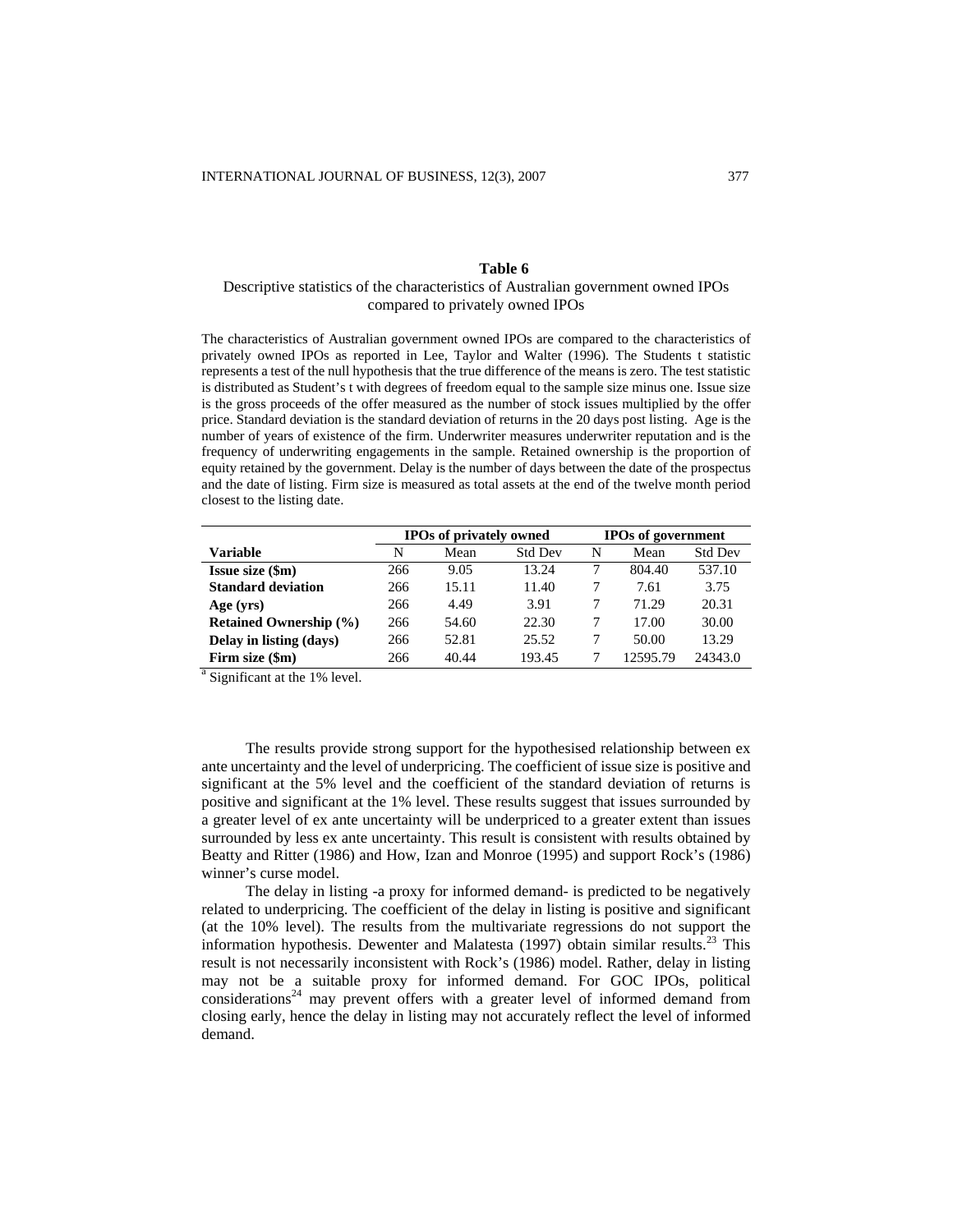## **Table 6**

# Descriptive statistics of the characteristics of Australian government owned IPOs compared to privately owned IPOs

The characteristics of Australian government owned IPOs are compared to the characteristics of privately owned IPOs as reported in Lee, Taylor and Walter (1996). The Students t statistic represents a test of the null hypothesis that the true difference of the means is zero. The test statistic is distributed as Student's t with degrees of freedom equal to the sample size minus one. Issue size is the gross proceeds of the offer measured as the number of stock issues multiplied by the offer price. Standard deviation is the standard deviation of returns in the 20 days post listing. Age is the number of years of existence of the firm. Underwriter measures underwriter reputation and is the frequency of underwriting engagements in the sample. Retained ownership is the proportion of equity retained by the government. Delay is the number of days between the date of the prospectus and the date of listing. Firm size is measured as total assets at the end of the twelve month period closest to the listing date.

|                               |     | <b>IPOs of privately owned</b> |                | <b>IPOs of government</b> |          |                |  |
|-------------------------------|-----|--------------------------------|----------------|---------------------------|----------|----------------|--|
| <b>Variable</b>               | N   | Mean                           | <b>Std Dev</b> | N                         | Mean     | <b>Std Dev</b> |  |
| <b>Issue size (\$m)</b>       | 266 | 9.05                           | 13.24          |                           | 804.40   | 537.10         |  |
| <b>Standard deviation</b>     | 266 | 15.11                          | 11.40          |                           | 7.61     | 3.75           |  |
| Age (yrs)                     | 266 | 4.49                           | 3.91           |                           | 71.29    | 20.31          |  |
| <b>Retained Ownership (%)</b> | 266 | 54.60                          | 22.30          |                           | 17.00    | 30.00          |  |
| Delay in listing (days)       | 266 | 52.81                          | 25.52          | 7                         | 50.00    | 13.29          |  |
| Firm size (\$m)               | 266 | 40.44                          | 193.45         |                           | 12595.79 | 24343.0        |  |

<sup>a</sup> Significant at the 1% level.

The results provide strong support for the hypothesised relationship between ex ante uncertainty and the level of underpricing. The coefficient of issue size is positive and significant at the 5% level and the coefficient of the standard deviation of returns is positive and significant at the 1% level. These results suggest that issues surrounded by a greater level of ex ante uncertainty will be underpriced to a greater extent than issues surrounded by less ex ante uncertainty. This result is consistent with results obtained by Beatty and Ritter (1986) and How, Izan and Monroe (1995) and support Rock's (1986) winner's curse model.

The delay in listing -a proxy for informed demand- is predicted to be negatively related to underpricing. The coefficient of the delay in listing is positive and significant (at the 10% level). The results from the multivariate regressions do not support the information hypothesis. Dewenter and Malatesta (1997) obtain similar results.<sup>23</sup> This result is not necessarily inconsistent with Rock's (1986) model. Rather, delay in listing may not be a suitable proxy for informed demand. For GOC IPOs, political considerations<sup>24</sup> may prevent offers with a greater level of informed demand from closing early, hence the delay in listing may not accurately reflect the level of informed demand.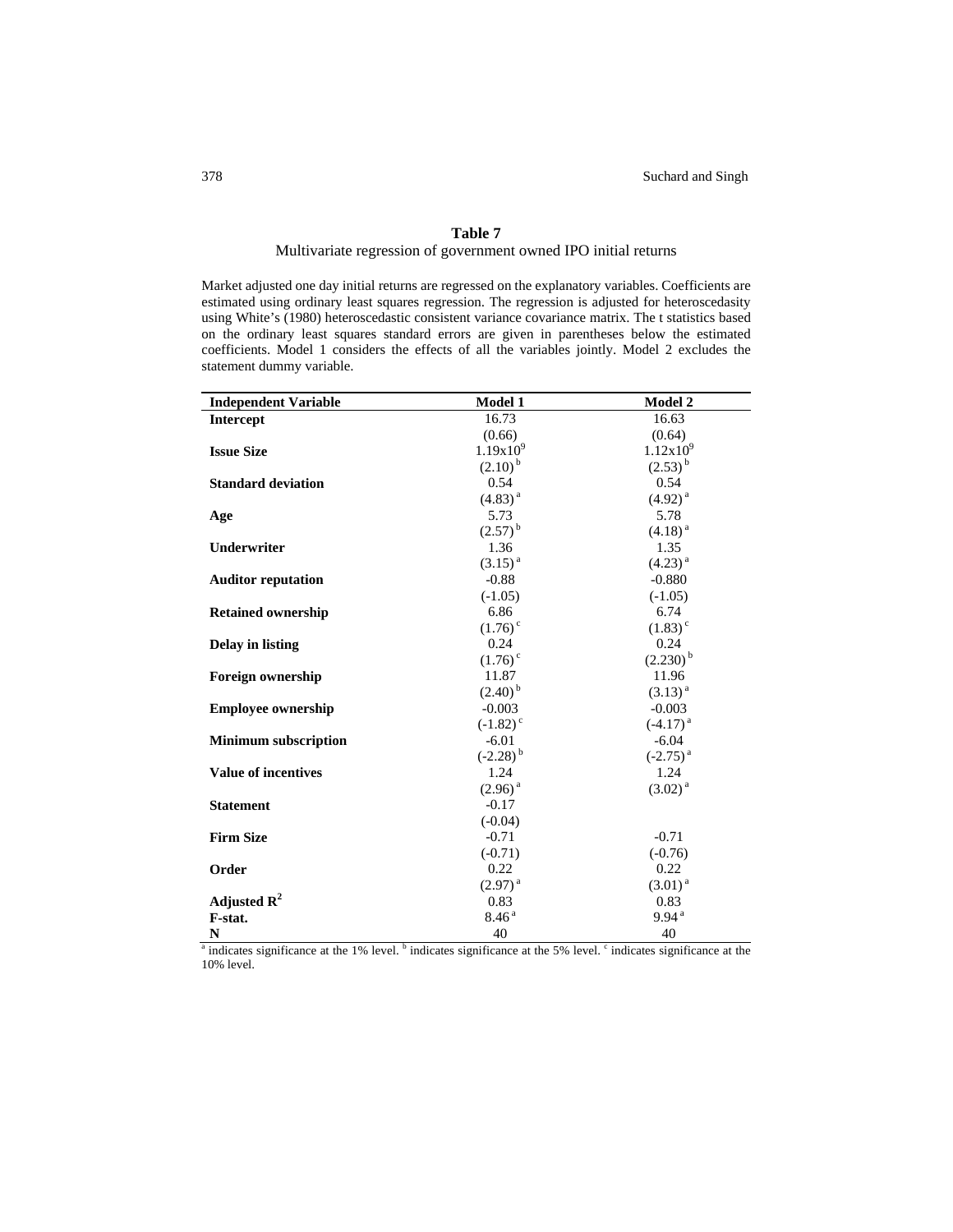# **Table 7**

# Multivariate regression of government owned IPO initial returns

Market adjusted one day initial returns are regressed on the explanatory variables. Coefficients are estimated using ordinary least squares regression. The regression is adjusted for heteroscedasity using White's (1980) heteroscedastic consistent variance covariance matrix. The t statistics based on the ordinary least squares standard errors are given in parentheses below the estimated coefficients. Model 1 considers the effects of all the variables jointly. Model 2 excludes the statement dummy variable.

| <b>Independent Variable</b>                                                                                                                     | Model 1                | <b>Model 2</b>        |
|-------------------------------------------------------------------------------------------------------------------------------------------------|------------------------|-----------------------|
| <b>Intercept</b>                                                                                                                                | 16.73                  | 16.63                 |
|                                                                                                                                                 | (0.66)                 | (0.64)                |
| <b>Issue Size</b>                                                                                                                               | $1.19x10^{9}$          | $1.12x10^{9}$         |
|                                                                                                                                                 | $(2.10)^{b}$           | $(2.53)^{b}$          |
| <b>Standard deviation</b>                                                                                                                       | 0.54                   | 0.54                  |
|                                                                                                                                                 | $(4.83)^{a}$           | $(4.92)^{a}$          |
| Age                                                                                                                                             | 5.73                   | 5.78                  |
|                                                                                                                                                 | $(2.57)^{b}$           | $(4.18)^{a}$          |
| Underwriter                                                                                                                                     | 1.36                   | 1.35                  |
|                                                                                                                                                 | $(3.15)^{a}$           | $(4.23)^{a}$          |
| <b>Auditor reputation</b>                                                                                                                       | $-0.88$                | $-0.880$              |
|                                                                                                                                                 | $(-1.05)$              | $(-1.05)$             |
| <b>Retained ownership</b>                                                                                                                       | 6.86                   | 6.74                  |
|                                                                                                                                                 | $(1.76)$ <sup>c</sup>  | $(1.83)$ <sup>c</sup> |
| <b>Delay in listing</b>                                                                                                                         | 0.24                   | 0.24                  |
|                                                                                                                                                 | $(1.76)$ <sup>c</sup>  | $(2.230)^{b}$         |
| <b>Foreign ownership</b>                                                                                                                        | 11.87                  | 11.96                 |
|                                                                                                                                                 | $(2.40)^{b}$           | $(3.13)^{a}$          |
| <b>Employee ownership</b>                                                                                                                       | $-0.003$               | $-0.003$              |
|                                                                                                                                                 | $(-1.82)$ <sup>c</sup> | $(-4.17)^{a}$         |
| <b>Minimum subscription</b>                                                                                                                     | $-6.01$                | $-6.04$               |
|                                                                                                                                                 | $(-2.28)^{b}$          | $(-2.75)^{a}$         |
| <b>Value of incentives</b>                                                                                                                      | 1.24                   | 1.24                  |
|                                                                                                                                                 | $(2.96)^{a}$           | $(3.02)^{a}$          |
| <b>Statement</b>                                                                                                                                | $-0.17$                |                       |
|                                                                                                                                                 | $(-0.04)$              |                       |
| <b>Firm Size</b>                                                                                                                                | $-0.71$                | $-0.71$               |
|                                                                                                                                                 | $(-0.71)$              | $(-0.76)$             |
| Order                                                                                                                                           | 0.22                   | 0.22                  |
|                                                                                                                                                 | $(2.97)^{a}$           | $(3.01)^{a}$          |
| Adjusted $R^2$                                                                                                                                  | 0.83                   | 0.83                  |
| F-stat.                                                                                                                                         | 8.46 <sup>a</sup>      | 9.94 <sup>a</sup>     |
| N                                                                                                                                               | 40                     | 40                    |
| <sup>a</sup> indicates significance at the 1% level. <sup>b</sup> indicates significance at the 5% level. $\cdot$ indicates significance at the |                        |                       |

10% level.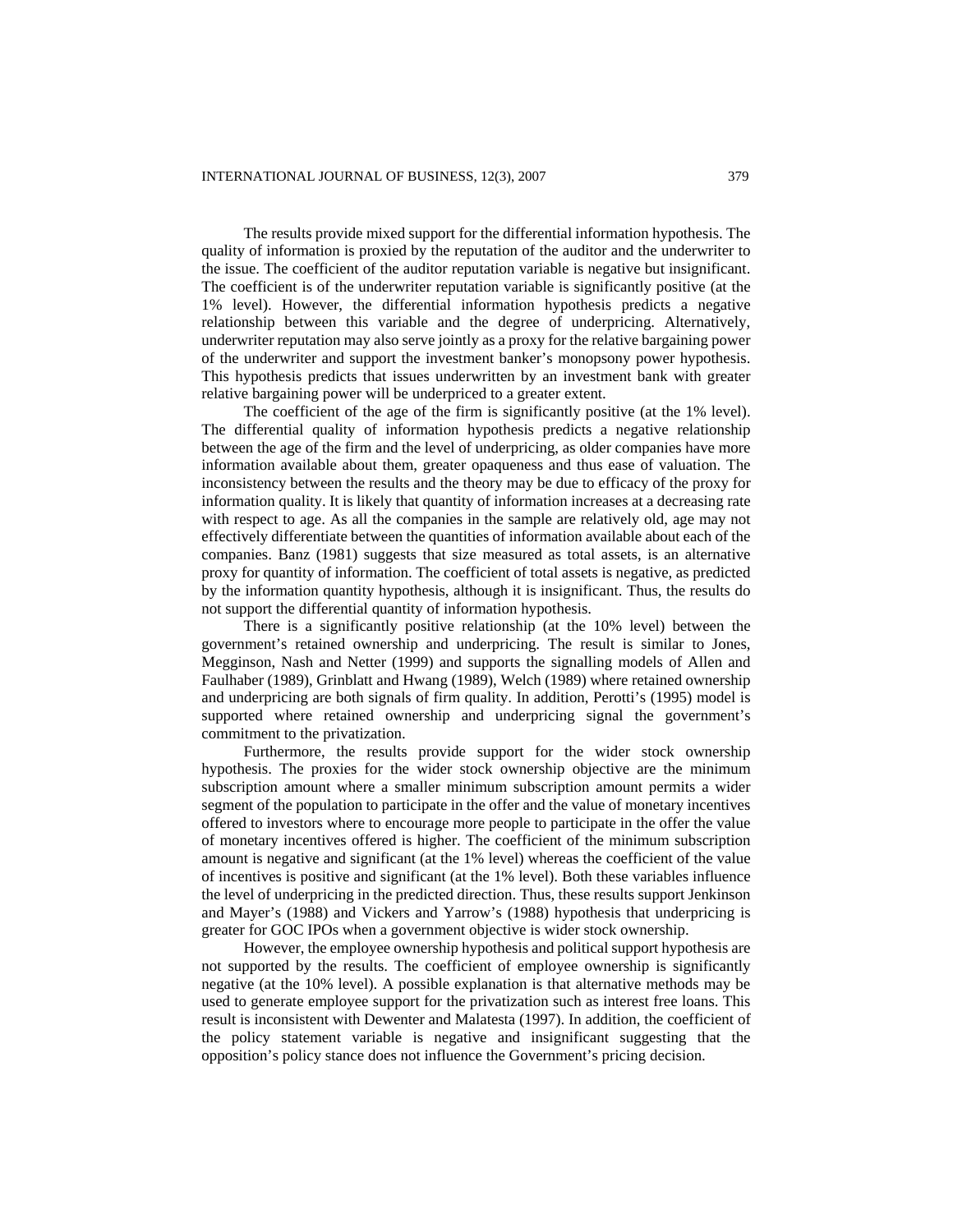The results provide mixed support for the differential information hypothesis. The quality of information is proxied by the reputation of the auditor and the underwriter to the issue. The coefficient of the auditor reputation variable is negative but insignificant. The coefficient is of the underwriter reputation variable is significantly positive (at the 1% level). However, the differential information hypothesis predicts a negative relationship between this variable and the degree of underpricing. Alternatively, underwriter reputation may also serve jointly as a proxy for the relative bargaining power of the underwriter and support the investment banker's monopsony power hypothesis. This hypothesis predicts that issues underwritten by an investment bank with greater relative bargaining power will be underpriced to a greater extent.

The coefficient of the age of the firm is significantly positive (at the 1% level). The differential quality of information hypothesis predicts a negative relationship between the age of the firm and the level of underpricing, as older companies have more information available about them, greater opaqueness and thus ease of valuation. The inconsistency between the results and the theory may be due to efficacy of the proxy for information quality. It is likely that quantity of information increases at a decreasing rate with respect to age. As all the companies in the sample are relatively old, age may not effectively differentiate between the quantities of information available about each of the companies. Banz (1981) suggests that size measured as total assets, is an alternative proxy for quantity of information. The coefficient of total assets is negative, as predicted by the information quantity hypothesis, although it is insignificant. Thus, the results do not support the differential quantity of information hypothesis.

There is a significantly positive relationship (at the 10% level) between the government's retained ownership and underpricing. The result is similar to Jones, Megginson, Nash and Netter (1999) and supports the signalling models of Allen and Faulhaber (1989), Grinblatt and Hwang (1989), Welch (1989) where retained ownership and underpricing are both signals of firm quality. In addition, Perotti's (1995) model is supported where retained ownership and underpricing signal the government's commitment to the privatization.

Furthermore, the results provide support for the wider stock ownership hypothesis. The proxies for the wider stock ownership objective are the minimum subscription amount where a smaller minimum subscription amount permits a wider segment of the population to participate in the offer and the value of monetary incentives offered to investors where to encourage more people to participate in the offer the value of monetary incentives offered is higher. The coefficient of the minimum subscription amount is negative and significant (at the 1% level) whereas the coefficient of the value of incentives is positive and significant (at the 1% level). Both these variables influence the level of underpricing in the predicted direction. Thus, these results support Jenkinson and Mayer's (1988) and Vickers and Yarrow's (1988) hypothesis that underpricing is greater for GOC IPOs when a government objective is wider stock ownership.

However, the employee ownership hypothesis and political support hypothesis are not supported by the results. The coefficient of employee ownership is significantly negative (at the 10% level). A possible explanation is that alternative methods may be used to generate employee support for the privatization such as interest free loans. This result is inconsistent with Dewenter and Malatesta (1997). In addition, the coefficient of the policy statement variable is negative and insignificant suggesting that the opposition's policy stance does not influence the Government's pricing decision.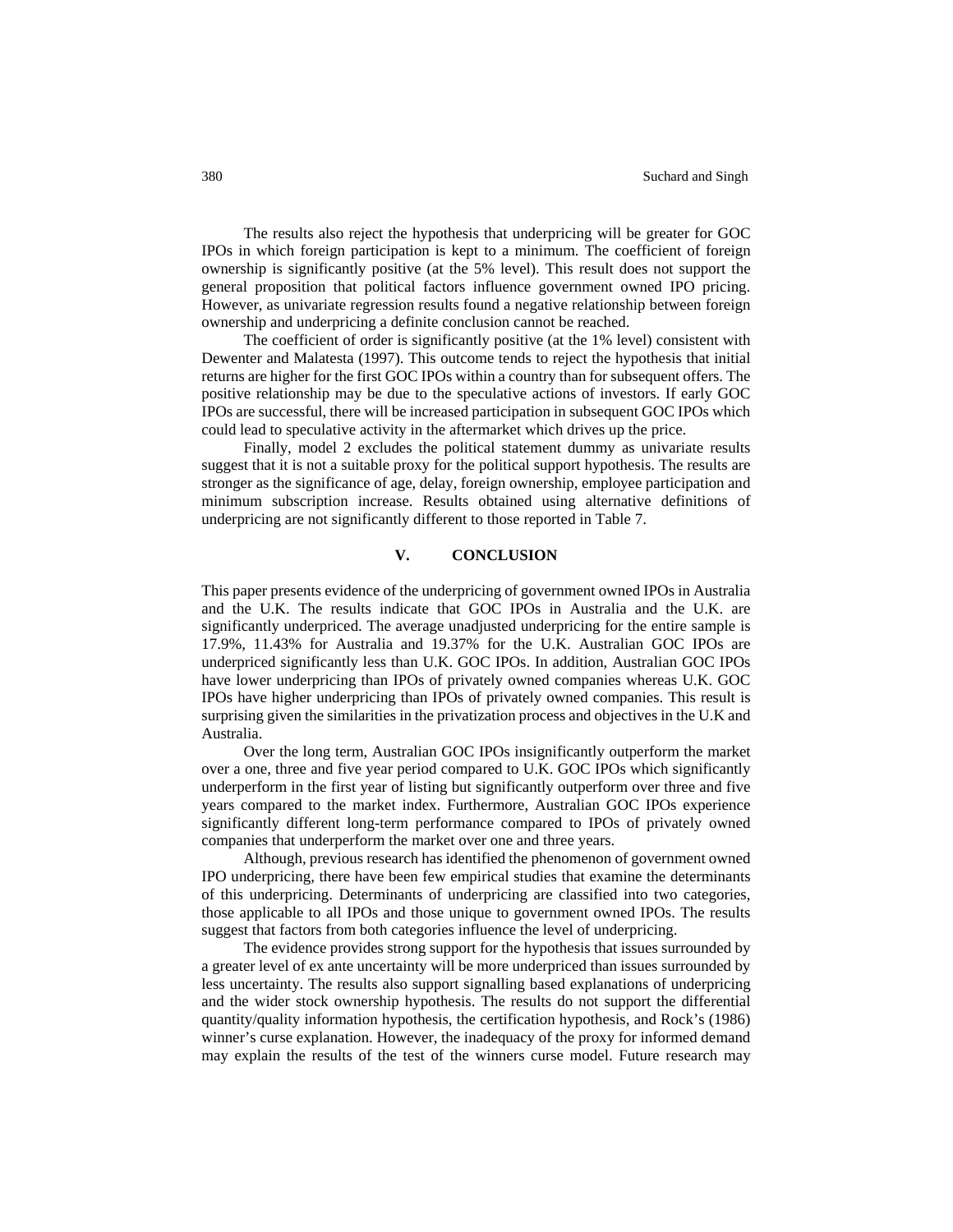The results also reject the hypothesis that underpricing will be greater for GOC IPOs in which foreign participation is kept to a minimum. The coefficient of foreign ownership is significantly positive (at the 5% level). This result does not support the general proposition that political factors influence government owned IPO pricing. However, as univariate regression results found a negative relationship between foreign ownership and underpricing a definite conclusion cannot be reached.

The coefficient of order is significantly positive (at the 1% level) consistent with Dewenter and Malatesta (1997). This outcome tends to reject the hypothesis that initial returns are higher for the first GOC IPOs within a country than for subsequent offers. The positive relationship may be due to the speculative actions of investors. If early GOC IPOs are successful, there will be increased participation in subsequent GOC IPOs which could lead to speculative activity in the aftermarket which drives up the price.

Finally, model 2 excludes the political statement dummy as univariate results suggest that it is not a suitable proxy for the political support hypothesis. The results are stronger as the significance of age, delay, foreign ownership, employee participation and minimum subscription increase. Results obtained using alternative definitions of underpricing are not significantly different to those reported in Table 7.

# **V. CONCLUSION**

This paper presents evidence of the underpricing of government owned IPOs in Australia and the U.K. The results indicate that GOC IPOs in Australia and the U.K. are significantly underpriced. The average unadjusted underpricing for the entire sample is 17.9%, 11.43% for Australia and 19.37% for the U.K. Australian GOC IPOs are underpriced significantly less than U.K. GOC IPOs. In addition, Australian GOC IPOs have lower underpricing than IPOs of privately owned companies whereas U.K. GOC IPOs have higher underpricing than IPOs of privately owned companies. This result is surprising given the similarities in the privatization process and objectives in the U.K and Australia.

Over the long term, Australian GOC IPOs insignificantly outperform the market over a one, three and five year period compared to U.K. GOC IPOs which significantly underperform in the first year of listing but significantly outperform over three and five years compared to the market index. Furthermore, Australian GOC IPOs experience significantly different long-term performance compared to IPOs of privately owned companies that underperform the market over one and three years.

Although, previous research has identified the phenomenon of government owned IPO underpricing, there have been few empirical studies that examine the determinants of this underpricing. Determinants of underpricing are classified into two categories, those applicable to all IPOs and those unique to government owned IPOs. The results suggest that factors from both categories influence the level of underpricing.

The evidence provides strong support for the hypothesis that issues surrounded by a greater level of ex ante uncertainty will be more underpriced than issues surrounded by less uncertainty. The results also support signalling based explanations of underpricing and the wider stock ownership hypothesis. The results do not support the differential quantity/quality information hypothesis, the certification hypothesis, and Rock's (1986) winner's curse explanation. However, the inadequacy of the proxy for informed demand may explain the results of the test of the winners curse model. Future research may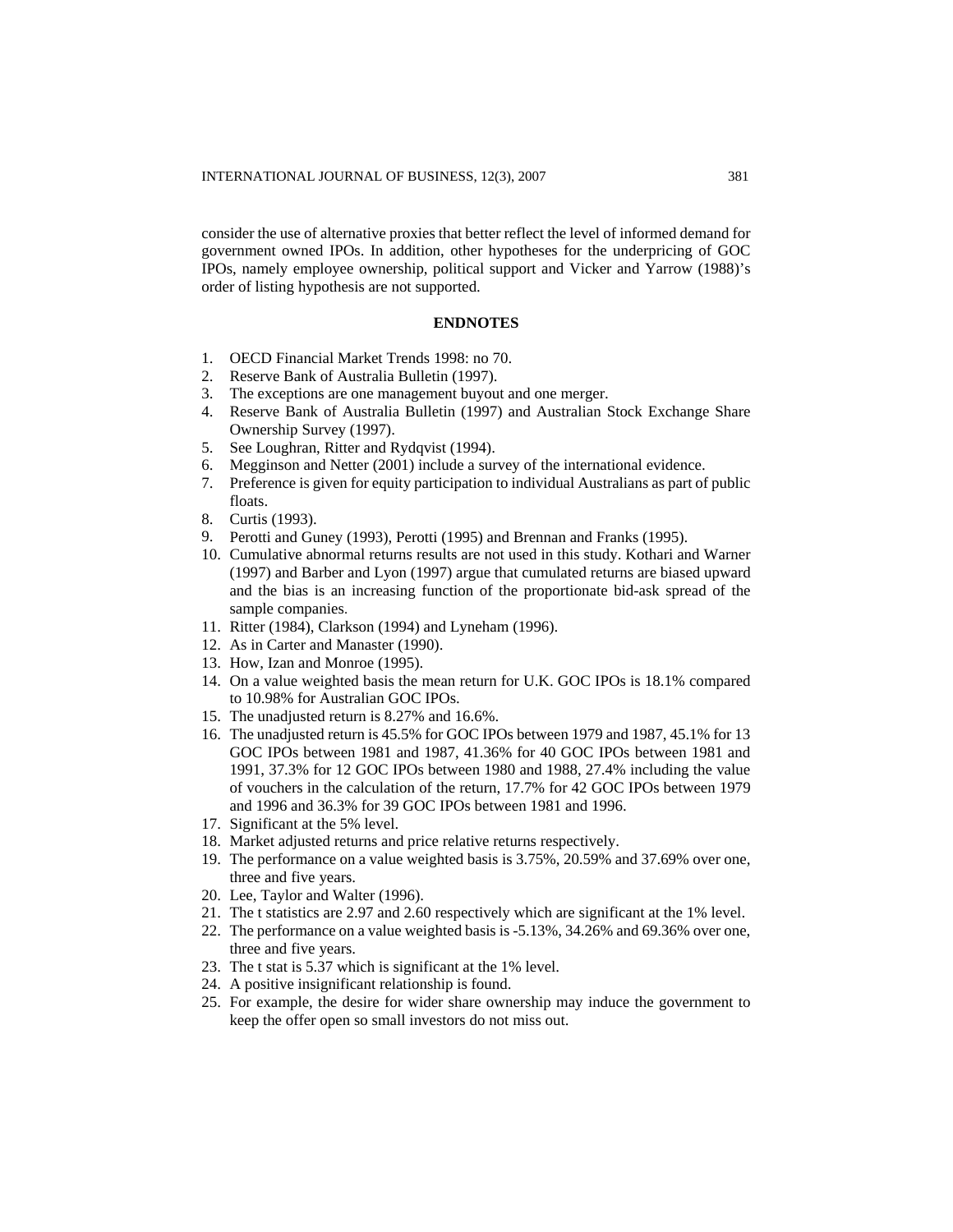consider the use of alternative proxies that better reflect the level of informed demand for government owned IPOs. In addition, other hypotheses for the underpricing of GOC IPOs, namely employee ownership, political support and Vicker and Yarrow (1988)'s order of listing hypothesis are not supported.

## **ENDNOTES**

- 1. OECD Financial Market Trends 1998: no 70.
- 2. Reserve Bank of Australia Bulletin (1997).
- 3. The exceptions are one management buyout and one merger.
- 4. Reserve Bank of Australia Bulletin (1997) and Australian Stock Exchange Share Ownership Survey (1997).
- 5. See Loughran, Ritter and Rydqvist (1994).
- 6. Megginson and Netter (2001) include a survey of the international evidence.
- 7. Preference is given for equity participation to individual Australians as part of public floats.
- 8. Curtis (1993).
- 9. Perotti and Guney (1993), Perotti (1995) and Brennan and Franks (1995).
- 10. Cumulative abnormal returns results are not used in this study. Kothari and Warner (1997) and Barber and Lyon (1997) argue that cumulated returns are biased upward and the bias is an increasing function of the proportionate bid-ask spread of the sample companies.
- 11. Ritter (1984), Clarkson (1994) and Lyneham (1996).
- 12. As in Carter and Manaster (1990).
- 13. How, Izan and Monroe (1995).
- 14. On a value weighted basis the mean return for U.K. GOC IPOs is 18.1% compared to 10.98% for Australian GOC IPOs.
- 15. The unadjusted return is 8.27% and 16.6%.
- 16. The unadjusted return is 45.5% for GOC IPOs between 1979 and 1987, 45.1% for 13 GOC IPOs between 1981 and 1987, 41.36% for 40 GOC IPOs between 1981 and 1991, 37.3% for 12 GOC IPOs between 1980 and 1988, 27.4% including the value of vouchers in the calculation of the return, 17.7% for 42 GOC IPOs between 1979 and 1996 and 36.3% for 39 GOC IPOs between 1981 and 1996.
- 17. Significant at the 5% level.
- 18. Market adjusted returns and price relative returns respectively.
- 19. The performance on a value weighted basis is 3.75%, 20.59% and 37.69% over one, three and five years.
- 20. Lee, Taylor and Walter (1996).
- 21. The t statistics are 2.97 and 2.60 respectively which are significant at the 1% level.
- 22. The performance on a value weighted basis is -5.13%, 34.26% and 69.36% over one, three and five years.
- 23. The t stat is 5.37 which is significant at the 1% level.
- 24. A positive insignificant relationship is found.
- 25. For example, the desire for wider share ownership may induce the government to keep the offer open so small investors do not miss out.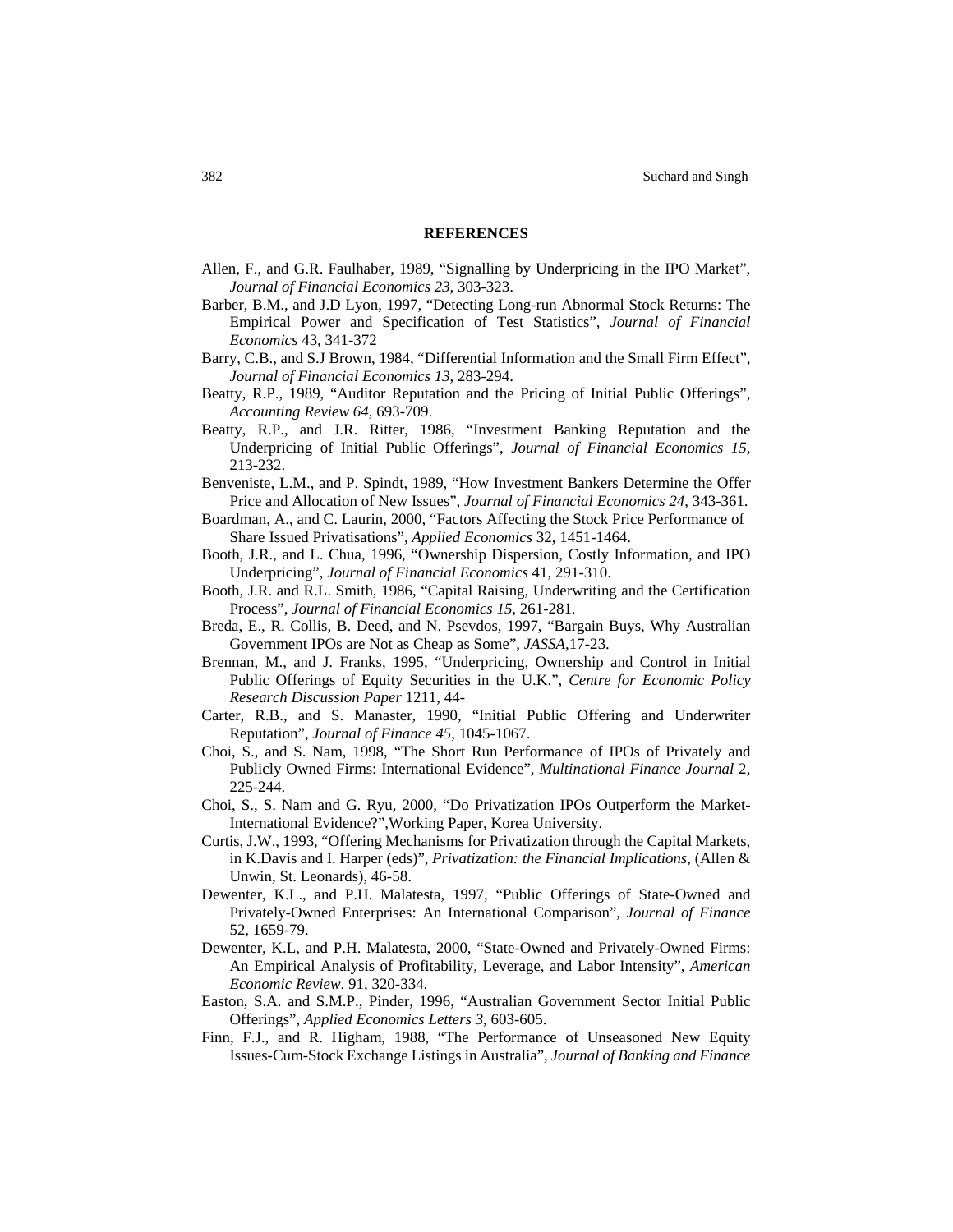#### **REFERENCES**

- Allen, F., and G.R. Faulhaber, 1989, "Signalling by Underpricing in the IPO Market", *Journal of Financial Economics 23*, 303-323.
- Barber, B.M., and J.D Lyon, 1997, "Detecting Long-run Abnormal Stock Returns: The Empirical Power and Specification of Test Statistics", *Journal of Financial Economics* 43, 341-372
- Barry, C.B., and S.J Brown, 1984, "Differential Information and the Small Firm Effect", *Journal of Financial Economics 13*, 283-294.
- Beatty, R.P., 1989, "Auditor Reputation and the Pricing of Initial Public Offerings", *Accounting Review 64*, 693-709.
- Beatty, R.P., and J.R. Ritter, 1986, "Investment Banking Reputation and the Underpricing of Initial Public Offerings", *Journal of Financial Economics 15*, 213-232.
- Benveniste, L.M., and P. Spindt, 1989, "How Investment Bankers Determine the Offer Price and Allocation of New Issues", *Journal of Financial Economics 24*, 343-361.
- Boardman, A., and C. Laurin, 2000, "Factors Affecting the Stock Price Performance of Share Issued Privatisations", *[Applied Economics](http://taylorandfrancis.metapress.com/content/1466-4283/)* 32, 1451-1464.
- Booth, J.R., and L. Chua, 1996, "Ownership Dispersion, Costly Information, and IPO Underpricing", *Journal of Financial Economics* 41, 291-310.
- Booth, J.R. and R.L. Smith, 1986, "Capital Raising, Underwriting and the Certification Process", *Journal of Financial Economics 15*, 261-281.
- Breda, E., R. Collis, B. Deed, and N. Psevdos, 1997, "Bargain Buys, Why Australian Government IPOs are Not as Cheap as Some", *JASSA*,17-23.
- Brennan, M., and J. Franks, 1995, "Underpricing, Ownership and Control in Initial Public Offerings of Equity Securities in the U.K.", *Centre for Economic Policy Research Discussion Paper* 1211, 44-
- Carter, R.B., and S. Manaster, 1990, "Initial Public Offering and Underwriter Reputation", *Journal of Finance 45*, 1045-1067.
- Choi, S., and S. Nam, 1998, "The Short Run Performance of IPOs of Privately and Publicly Owned Firms: International Evidence", *Multinational Finance Journal* 2, 225-244.
- Choi, S., S. Nam and G. Ryu, 2000, "Do Privatization IPOs Outperform the Market-International Evidence?",Working Paper, Korea University.
- Curtis, J.W., 1993, "Offering Mechanisms for Privatization through the Capital Markets, in K.Davis and I. Harper (eds)", *Privatization: the Financial Implications*, (Allen & Unwin, St. Leonards), 46-58.
- Dewenter, K.L., and P.H. Malatesta, 1997, "Public Offerings of State-Owned and Privately-Owned Enterprises: An International Comparison", *Journal of Finance* 52, 1659-79.
- Dewenter, K.L, and P.H. Malatesta, 2000, "State-Owned and Privately-Owned Firms: An Empirical Analysis of Profitability, Leverage, and Labor Intensity", *American Economic Review*. 91, 320-334.
- Easton, S.A. and S.M.P., Pinder, 1996, "Australian Government Sector Initial Public Offerings", *Applied Economics Letters 3*, 603-605.
- Finn, F.J., and R. Higham, 1988, "The Performance of Unseasoned New Equity Issues-Cum-Stock Exchange Listings in Australia", *Journal of Banking and Finance*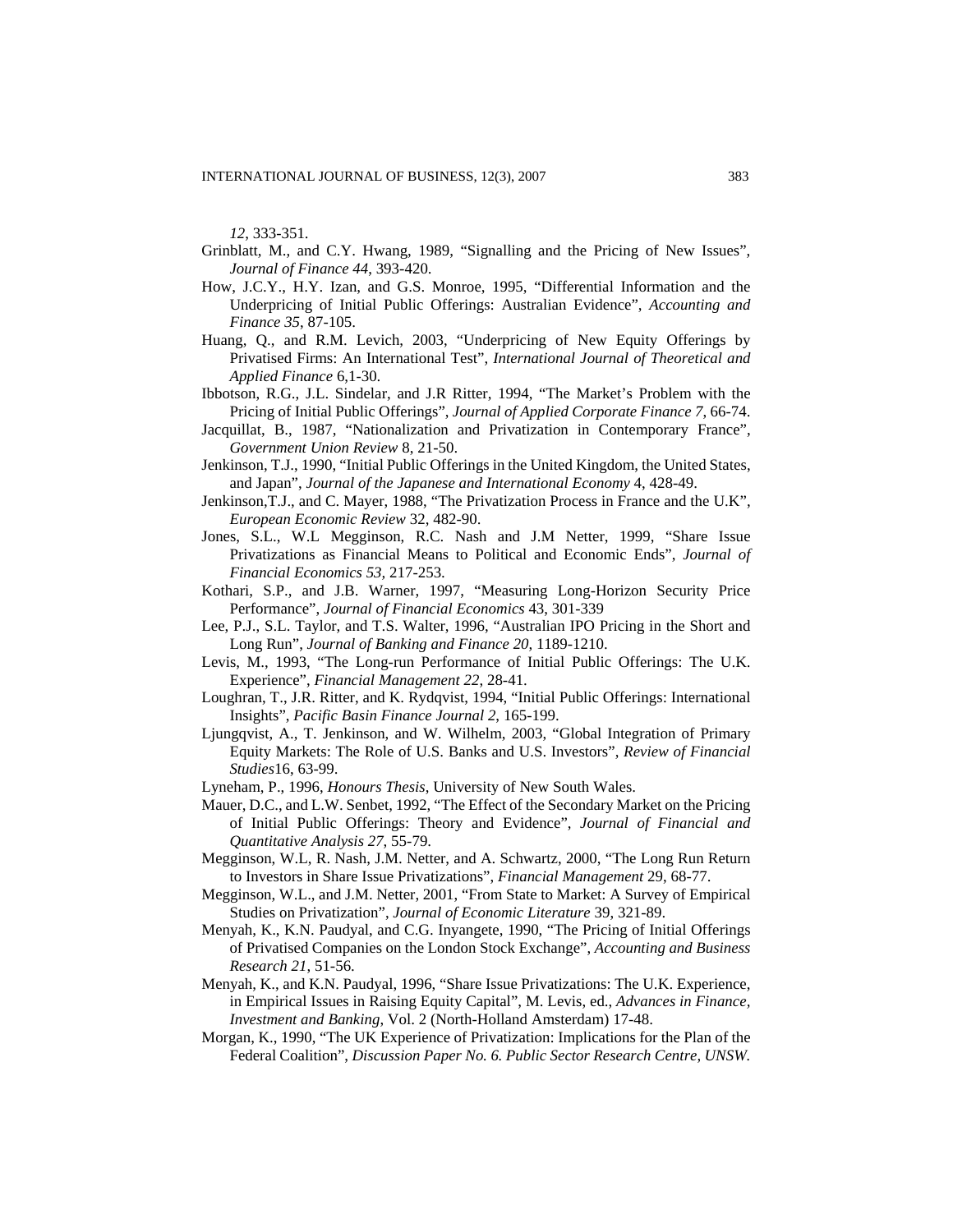*12*, 333-351.

- Grinblatt, M., and C.Y. Hwang, 1989, "Signalling and the Pricing of New Issues", *Journal of Finance 44*, 393-420.
- How, J.C.Y., H.Y. Izan, and G.S. Monroe, 1995, "Differential Information and the Underpricing of Initial Public Offerings: Australian Evidence", *Accounting and Finance 35*, 87-105.
- Huang, Q., and R.M. Levich, 2003, "Underpricing of New Equity Offerings by Privatised Firms: An International Test", *International Journal of Theoretical and Applied Finance* 6,1-30.
- Ibbotson, R.G., J.L. Sindelar, and J.R Ritter, 1994, "The Market's Problem with the Pricing of Initial Public Offerings", *Journal of Applied Corporate Finance 7*, 66-74.
- Jacquillat, B., 1987, "Nationalization and Privatization in Contemporary France", *Government Union Review* 8, 21-50.
- Jenkinson, T.J., 1990, "Initial Public Offerings in the United Kingdom, the United States, and Japan", *Journal of the Japanese and International Economy* 4, 428-49.
- Jenkinson,T.J., and C. Mayer, 1988, "The Privatization Process in France and the U.K", *European Economic Review* 32, 482-90.
- Jones, S.L., W.L Megginson, R.C. Nash and J.M Netter, 1999, "Share Issue Privatizations as Financial Means to Political and Economic Ends", *Journal of Financial Economics 53,* 217-253.
- Kothari, S.P., and J.B. Warner, 1997, "Measuring Long-Horizon Security Price Performance", *Journal of Financial Economics* 43, 301-339
- Lee, P.J., S.L. Taylor, and T.S. Walter, 1996, "Australian IPO Pricing in the Short and Long Run", *Journal of Banking and Finance 20*, 1189-1210.
- Levis, M., 1993, "The Long-run Performance of Initial Public Offerings: The U.K. Experience", *Financial Management 22*, 28-41.
- Loughran, T., J.R. Ritter, and K. Rydqvist, 1994, "Initial Public Offerings: International Insights", *Pacific Basin Finance Journal 2*, 165-199.
- Ljungqvist, A., T. Jenkinson, and W. Wilhelm, 2003, ["Global Integration of Primary](http://www.stern.nyu.edu/%7Ealjungqv/papers/LJW_RFS.pdf)  [Equity Markets: The Role of U.S. Banks and U.S. Investors"](http://www.stern.nyu.edu/%7Ealjungqv/papers/LJW_RFS.pdf), *Review of Financial Studies*16, 63-99.
- Lyneham, P., 1996, *Honours Thesis*, University of New South Wales.
- Mauer, D.C., and L.W. Senbet, 1992, "The Effect of the Secondary Market on the Pricing of Initial Public Offerings: Theory and Evidence", *Journal of Financial and Quantitative Analysis 27*, 55-79.
- Megginson, W.L, R. Nash, J.M. Netter, and A. Schwartz, 2000, "The Long Run Return to Investors in Share Issue Privatizations", *Financial Management* 29, 68-77.
- Megginson, W.L., and J.M. Netter, 2001, "From State to Market: A Survey of Empirical Studies on Privatization", *Journal of Economic Literature* 39, 321-89.
- Menyah, K., K.N. Paudyal, and C.G. Inyangete, 1990, "The Pricing of Initial Offerings of Privatised Companies on the London Stock Exchange", *Accounting and Business Research 21*, 51-56.
- Menyah, K., and K.N. Paudyal, 1996, "Share Issue Privatizations: The U.K. Experience, in Empirical Issues in Raising Equity Capital", M. Levis, ed., *Advances in Finance, Investment and Banking*, Vol. 2 (North-Holland Amsterdam) 17-48.
- Morgan, K., 1990, "The UK Experience of Privatization: Implications for the Plan of the Federal Coalition", *Discussion Paper No. 6. Public Sector Research Centre, UNSW.*